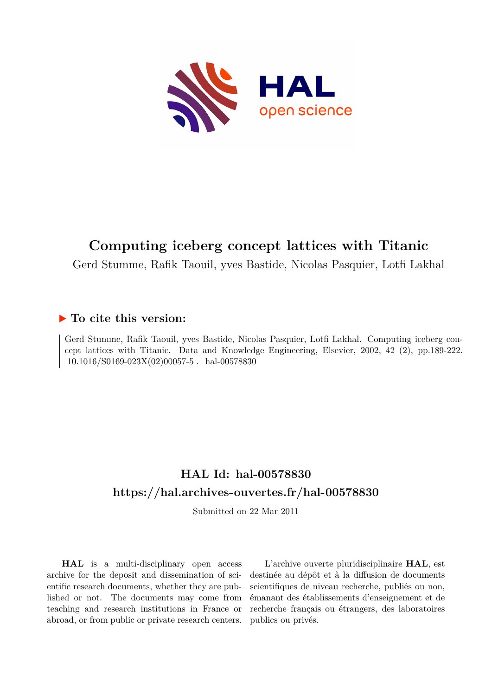

# **Computing iceberg concept lattices with Titanic**

Gerd Stumme, Rafik Taouil, yves Bastide, Nicolas Pasquier, Lotfi Lakhal

## **To cite this version:**

Gerd Stumme, Rafik Taouil, yves Bastide, Nicolas Pasquier, Lotfi Lakhal. Computing iceberg concept lattices with Titanic. Data and Knowledge Engineering, Elsevier, 2002, 42 (2), pp.189-222.  $10.1016/S0169-023X(02)00057-5$ . hal-00578830

# **HAL Id: hal-00578830 <https://hal.archives-ouvertes.fr/hal-00578830>**

Submitted on 22 Mar 2011

**HAL** is a multi-disciplinary open access archive for the deposit and dissemination of scientific research documents, whether they are published or not. The documents may come from teaching and research institutions in France or abroad, or from public or private research centers.

L'archive ouverte pluridisciplinaire **HAL**, est destinée au dépôt et à la diffusion de documents scientifiques de niveau recherche, publiés ou non, émanant des établissements d'enseignement et de recherche français ou étrangers, des laboratoires publics ou privés.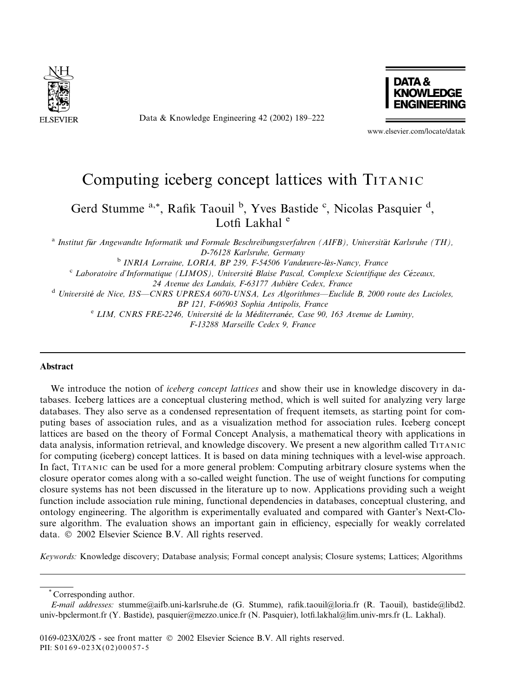

Data & Knowledge Engineering 42 (2002) 189–222



www.elsevier.com/locate/datak

## Computing iceberg concept lattices with TITANIC

Gerd Stumme <sup>a,\*</sup>, Rafik Taouil <sup>b</sup>, Yves Bastide <sup>c</sup>, Nicolas Pasquier <sup>d</sup>, Lotfi Lakhal<sup>e</sup>

<sup>a</sup> Institut für Angewandte Informatik und Formale Beschreibungsverfahren (AIFB), Universität Karlsruhe (TH), D-76128 Karlsruhe, Germany<br><sup>b</sup> INRIA Lorraine, LORIA, BP 239, F-54506 Vandæuvre-lès-Nancy, France

 $c$  Laboratoire d'Informatique (LIMOS), Université Blaise Pascal, Complexe Scientifique des Cézeaux,

24 Avenue des Landais, F-63177 Aubière Cedex, France

 $d$  Université de Nice, I3S–CNRS UPRESA 6070-UNSA, Les Algorithmes–Euclide B, 2000 route des Lucioles,

 $BP$  121, F-06903 Sophia Antipolis, France e LIM, CNRS FRE-2246, Université de la Méditerranée, Case 90, 163 Avenue de Luminy, F-13288 Marseille Cedex 9, France

## Abstract

We introduce the notion of *iceberg concept lattices* and show their use in knowledge discovery in databases. Iceberg lattices are a conceptual clustering method, which is well suited for analyzing very large databases. They also serve as a condensed representation of frequent itemsets, as starting point for computing bases of association rules, and as a visualization method for association rules. Iceberg concept lattices are based on the theory of Formal Concept Analysis, a mathematical theory with applications in data analysis, information retrieval, and knowledge discovery. We present a new algorithm called TITANIC for computing (iceberg) concept lattices. It is based on data mining techniques with a level-wise approach. In fact, TITANIC can be used for a more general problem: Computing arbitrary closure systems when the closure operator comes along with a so-called weight function. The use of weight functions for computing closure systems has not been discussed in the literature up to now. Applications providing such a weight function include association rule mining, functional dependencies in databases, conceptual clustering, and ontology engineering. The algorithm is experimentally evaluated and compared with Ganter's Next-Closure algorithm. The evaluation shows an important gain in efficiency, especially for weakly correlated data.  $© 2002 Elsevier Science B.V. All rights reserved.$ 

Keywords: Knowledge discovery; Database analysis; Formal concept analysis; Closure systems; Lattices; Algorithms

<sup>\*</sup> Corresponding author.

E-mail addresses: stumme@aifb.uni-karlsruhe.de (G. Stumme), rafik.taouil@loria.fr (R. Taouil), bastide@libd2. univ-bpclermont.fr (Y. Bastide), pasquier@mezzo.unice.fr (N. Pasquier), lotfi.lakhal@lim.univ-mrs.fr (L. Lakhal).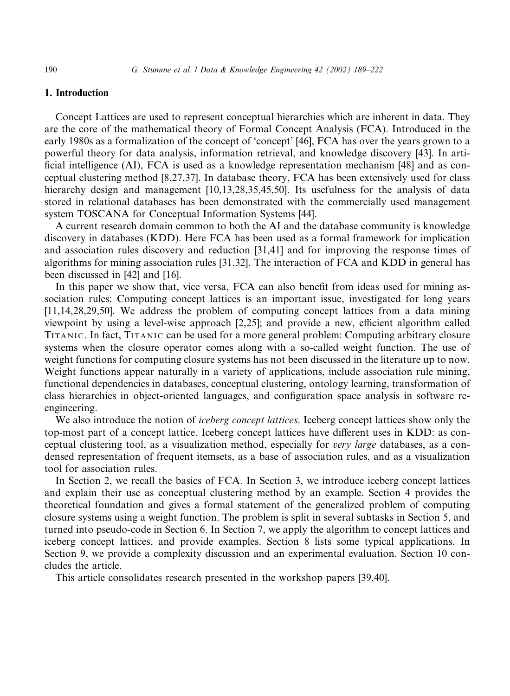#### 1. Introduction

Concept Lattices are used to represent conceptual hierarchies which are inherent in data. They are the core of the mathematical theory of Formal Concept Analysis (FCA). Introduced in the early 1980s as a formalization of the concept of 'concept' [46], FCA has over the years grown to a powerful theory for data analysis, information retrieval, and knowledge discovery [43]. In artificial intelligence (AI), FCA is used as a knowledge representation mechanism [48] and as conceptual clustering method [8,27,37]. In database theory, FCA has been extensively used for class hierarchy design and management [10,13,28,35,45,50]. Its usefulness for the analysis of data stored in relational databases has been demonstrated with the commercially used management system TOSCANA for Conceptual Information Systems [44].

A current research domain common to both the AI and the database community is knowledge discovery in databases (KDD). Here FCA has been used as a formal framework for implication and association rules discovery and reduction [31,41] and for improving the response times of algorithms for mining association rules [31,32]. The interaction of FCA and KDD in general has been discussed in [42] and [16].

In this paper we show that, vice versa, FCA can also benefit from ideas used for mining association rules: Computing concept lattices is an important issue, investigated for long years [11,14,28,29,50]. We address the problem of computing concept lattices from a data mining viewpoint by using a level-wise approach [2,25]; and provide a new, efficient algorithm called TITANIC. In fact, TITANIC can be used for a more general problem: Computing arbitrary closure systems when the closure operator comes along with a so-called weight function. The use of weight functions for computing closure systems has not been discussed in the literature up to now. Weight functions appear naturally in a variety of applications, include association rule mining, functional dependencies in databases, conceptual clustering, ontology learning, transformation of class hierarchies in object-oriented languages, and configuration space analysis in software reengineering.

We also introduce the notion of *iceberg concept lattices*. Iceberg concept lattices show only the top-most part of a concept lattice. Iceberg concept lattices have different uses in KDD: as conceptual clustering tool, as a visualization method, especially for very large databases, as a condensed representation of frequent itemsets, as a base of association rules, and as a visualization tool for association rules.

In Section 2, we recall the basics of FCA. In Section 3, we introduce iceberg concept lattices and explain their use as conceptual clustering method by an example. Section 4 provides the theoretical foundation and gives a formal statement of the generalized problem of computing closure systems using a weight function. The problem is split in several subtasks in Section 5, and turned into pseudo-code in Section 6. In Section 7, we apply the algorithm to concept lattices and iceberg concept lattices, and provide examples. Section 8 lists some typical applications. In Section 9, we provide a complexity discussion and an experimental evaluation. Section 10 concludes the article.

This article consolidates research presented in the workshop papers [39,40].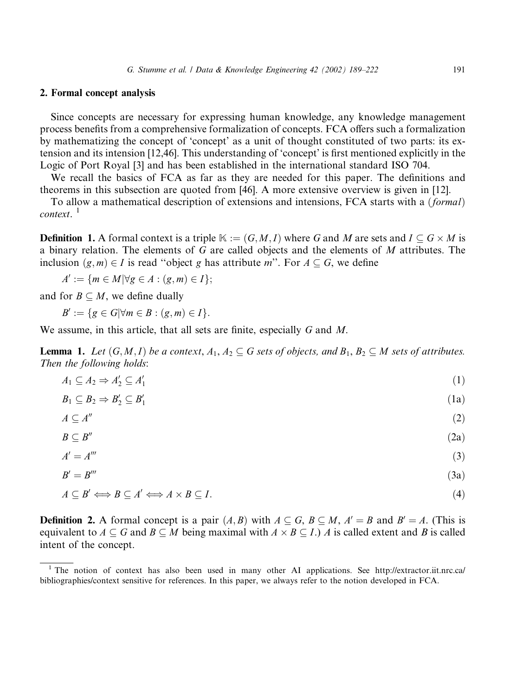#### 2. Formal concept analysis

Since concepts are necessary for expressing human knowledge, any knowledge management process benefits from a comprehensive formalization of concepts. FCA offers such a formalization by mathematizing the concept of 'concept' as a unit of thought constituted of two parts: its extension and its intension [12,46]. This understanding of 'concept' is first mentioned explicitly in the Logic of Port Royal [3] and has been established in the international standard ISO 704.

We recall the basics of FCA as far as they are needed for this paper. The definitions and theorems in this subsection are quoted from [46]. A more extensive overview is given in [12].

To allow a mathematical description of extensions and intensions, FCA starts with a (formal)  $context.$ <sup>1</sup>

**Definition 1.** A formal context is a triple  $\mathbb{K} := (G, M, I)$  where G and M are sets and  $I \subseteq G \times M$  is a binary relation. The elements of G are called objects and the elements of M attributes. The inclusion  $(g, m) \in I$  is read "object g has attribute m". For  $A \subseteq G$ , we define

$$
A' := \{ m \in M | \forall g \in A : (g, m) \in I \};
$$

and for  $B \subseteq M$ , we define dually

 $B' := \{ g \in G | \forall m \in B : (g, m) \in I \}.$ 

We assume, in this article, that all sets are finite, especially G and M.

**Lemma 1.** Let  $(G, M, I)$  be a context,  $A_1, A_2 \subseteq G$  sets of objects, and  $B_1, B_2 \subseteq M$  sets of attributes. Then the following holds:

$$
A_1 \subseteq A_2 \Rightarrow A_2' \subseteq A_1'
$$
 (1)

$$
B_1 \subseteq B_2 \Rightarrow B'_2 \subseteq B'_1 \tag{1a}
$$

$$
A \subseteq A'' \tag{2}
$$

$$
B \subseteq B'' \tag{2a}
$$

$$
A' = A''' \tag{3}
$$

$$
B'=B''' \tag{3a}
$$

$$
A \subseteq B' \Longleftrightarrow B \subseteq A' \Longleftrightarrow A \times B \subseteq I. \tag{4}
$$

**Definition 2.** A formal concept is a pair  $(A, B)$  with  $A \subseteq G$ ,  $B \subseteq M$ ,  $A' = B$  and  $B' = A$ . (This is equivalent to  $A \subseteq G$  and  $B \subseteq M$  being maximal with  $A \times B \subseteq I$ .) A is called extent and B is called intent of the concept.

<sup>&</sup>lt;sup>1</sup> The notion of context has also been used in many other AI applications. See http://extractor.iit.nrc.ca/ bibliographies/context sensitive for references. In this paper, we always refer to the notion developed in FCA.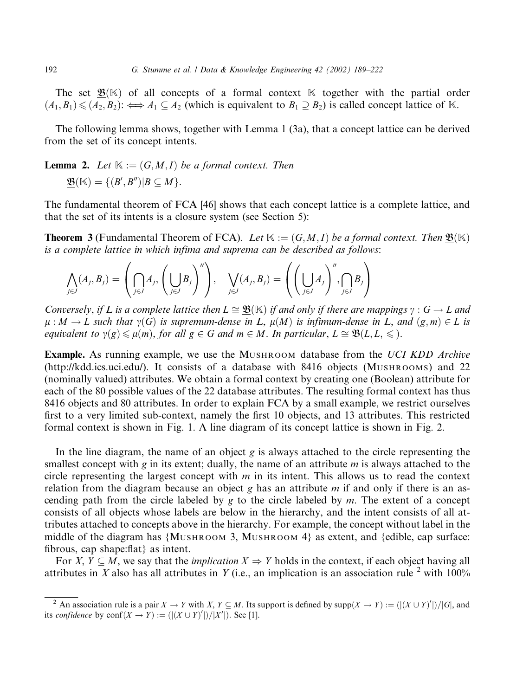The set  $\mathfrak{B}(\mathbb{K})$  of all concepts of a formal context  $\mathbb{K}$  together with the partial order  $(A_1, B_1) \leq (A_2, B_2)$ :  $\iff A_1 \subseteq A_2$  (which is equivalent to  $B_1 \supseteq B_2$ ) is called concept lattice of K.

The following lemma shows, together with Lemma 1 (3a), that a concept lattice can be derived from the set of its concept intents.

**Lemma 2.** Let 
$$
\mathbb{K} := (G, M, I)
$$
 be a formal context. Then  

$$
\underline{\mathfrak{B}}(\mathbb{K}) = \{ (B', B'') | B \subseteq M \}.
$$

The fundamental theorem of FCA [46] shows that each concept lattice is a complete lattice, and that the set of its intents is a closure system (see Section 5):

**Theorem 3** (Fundamental Theorem of FCA). Let  $\mathbb{K} := (G, M, I)$  be a formal context. Then  $\mathfrak{B}(\mathbb{K})$ is a complete lattice in which infima and suprema can be described as follows:

$$
\bigwedge_{j\in J}(A_j,B_j)=\left(\bigcap_{j\in J}A_j,\left(\bigcup_{j\in J}B_j\right)''\right),\quad \bigvee_{j\in J}(A_j,B_j)=\left(\left(\bigcup_{j\in J}A_j\right)'',\bigcap_{j\in J}B_j\right)
$$

Conversely, if L is a complete lattice then  $L \cong \mathfrak{B}(\mathbb{K})$  if and only if there are mappings  $\gamma : G \to L$  and  $\mu : M \to L$  such that  $\gamma(G)$  is supremum-dense in L,  $\mu(M)$  is infimum-dense in L, and  $(g, m) \in L$  is equivalent to  $\gamma(g) \leq \mu(m)$ , for all  $g \in G$  and  $m \in M$ . In particular,  $L \cong \mathfrak{B}(L, L, \leqslant)$ .

Example. As running example, we use the MUSHROOM database from the UCI KDD Archive (http://kdd.ics.uci.edu/). It consists of a database with 8416 objects (MUSHROOMS) and 22 (nominally valued) attributes. We obtain a formal context by creating one (Boolean) attribute for each of the 80 possible values of the 22 database attributes. The resulting formal context has thus 8416 objects and 80 attributes. In order to explain FCA by a small example, we restrict ourselves first to a very limited sub-context, namely the first 10 objects, and 13 attributes. This restricted formal context is shown in Fig. 1. A line diagram of its concept lattice is shown in Fig. 2.

In the line diagram, the name of an object g is always attached to the circle representing the smallest concept with g in its extent; dually, the name of an attribute  $m$  is always attached to the circle representing the largest concept with  $m$  in its intent. This allows us to read the context relation from the diagram because an object g has an attribute m if and only if there is an ascending path from the circle labeled by g to the circle labeled by  $m$ . The extent of a concept consists of all objects whose labels are below in the hierarchy, and the intent consists of all attributes attached to concepts above in the hierarchy. For example, the concept without label in the middle of the diagram has {MUSHROOM 3, MUSHROOM 4} as extent, and {edible, cap surface: fibrous, cap shape:flat} as intent.

For X,  $Y \subseteq M$ , we say that the *implication*  $X \Rightarrow Y$  holds in the context, if each object having all attributes in X also has all attributes in Y (i.e., an implication is an association rule <sup>2</sup> with 100%

<sup>&</sup>lt;sup>2</sup> An association rule is a pair  $X \to Y$  with X,  $Y \subseteq M$ . Its support is defined by supp $(X \to Y) := (|(X \cup Y)'|)/|G|$ , and its *confidence* by  $conf(X \rightarrow Y) := (|(X \cup Y)'|)/|X'|)$ . See [1].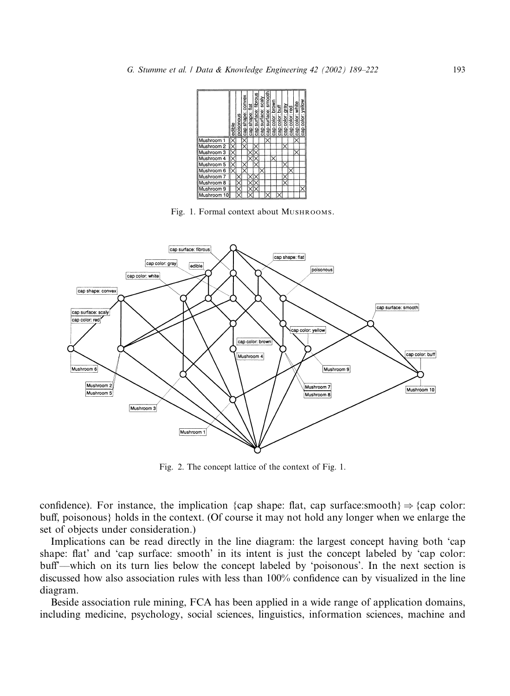

Fig. 1. Formal context about MUSHROOMS.



Fig. 2. The concept lattice of the context of Fig. 1.

confidence). For instance, the implication {cap shape: flat, cap surface:smooth}  $\Rightarrow$  {cap color: buff, poisonous} holds in the context. (Of course it may not hold any longer when we enlarge the set of objects under consideration.)

Implications can be read directly in the line diagram: the largest concept having both 'cap shape: flat' and 'cap surface: smooth' in its intent is just the concept labeled by 'cap color: buff'––which on its turn lies below the concept labeled by 'poisonous'. In the next section is discussed how also association rules with less than 100% confidence can by visualized in the line diagram.

Beside association rule mining, FCA has been applied in a wide range of application domains, including medicine, psychology, social sciences, linguistics, information sciences, machine and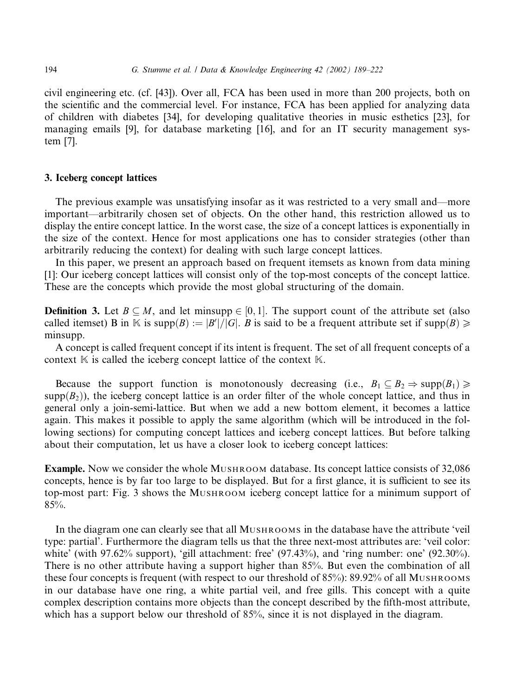civil engineering etc. (cf. [43]). Over all, FCA has been used in more than 200 projects, both on the scientific and the commercial level. For instance, FCA has been applied for analyzing data of children with diabetes [34], for developing qualitative theories in music esthetics [23], for managing emails [9], for database marketing [16], and for an IT security management system [7].

## 3. Iceberg concept lattices

The previous example was unsatisfying insofar as it was restricted to a very small and––more important––arbitrarily chosen set of objects. On the other hand, this restriction allowed us to display the entire concept lattice. In the worst case, the size of a concept lattices is exponentially in the size of the context. Hence for most applications one has to consider strategies (other than arbitrarily reducing the context) for dealing with such large concept lattices.

In this paper, we present an approach based on frequent itemsets as known from data mining [1]: Our iceberg concept lattices will consist only of the top-most concepts of the concept lattice. These are the concepts which provide the most global structuring of the domain.

**Definition 3.** Let  $B \subseteq M$ , and let minsupp  $\in [0, 1]$ . The support count of the attribute set (also called itemset) B in K is supp $(B) := |B'|/|G|$ . B is said to be a frequent attribute set if supp $(B) \ge$ minsupp.

A concept is called frequent concept if its intent is frequent. The set of all frequent concepts of a context  $K$  is called the iceberg concept lattice of the context  $K$ .

Because the support function is monotonously decreasing (i.e.,  $B_1 \subseteq B_2 \Rightarrow supp(B_1) \ge$  $supp(B_2)$ , the iceberg concept lattice is an order filter of the whole concept lattice, and thus in general only a join-semi-lattice. But when we add a new bottom element, it becomes a lattice again. This makes it possible to apply the same algorithm (which will be introduced in the following sections) for computing concept lattices and iceberg concept lattices. But before talking about their computation, let us have a closer look to iceberg concept lattices:

Example. Now we consider the whole MUSHROOM database. Its concept lattice consists of 32,086 concepts, hence is by far too large to be displayed. But for a first glance, it is sufficient to see its top-most part: Fig. 3 shows the MUSHROOM iceberg concept lattice for a minimum support of 85%.

In the diagram one can clearly see that all MUSHROOMS in the database have the attribute 'veil type: partial'. Furthermore the diagram tells us that the three next-most attributes are: 'veil color: white' (with 97.62% support), 'gill attachment: free' (97.43%), and 'ring number: one' (92.30%). There is no other attribute having a support higher than 85%. But even the combination of all these four concepts is frequent (with respect to our threshold of 85%): 89.92% of all MUSHROOMS in our database have one ring, a white partial veil, and free gills. This concept with a quite complex description contains more objects than the concept described by the fifth-most attribute, which has a support below our threshold of 85%, since it is not displayed in the diagram.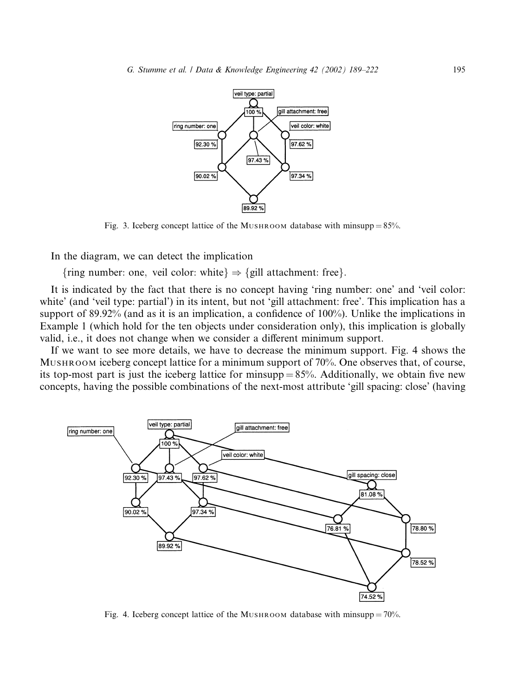

Fig. 3. Iceberg concept lattice of the MUSHROOM database with minsupp =  $85\%$ .

In the diagram, we can detect the implication

{ring number: one, veil color: white}  $\Rightarrow$  {gill attachment: free}.

It is indicated by the fact that there is no concept having 'ring number: one' and 'veil color: white' (and 'veil type: partial') in its intent, but not 'gill attachment: free'. This implication has a support of 89.92% (and as it is an implication, a confidence of 100%). Unlike the implications in Example 1 (which hold for the ten objects under consideration only), this implication is globally valid, i.e., it does not change when we consider a different minimum support.

If we want to see more details, we have to decrease the minimum support. Fig. 4 shows the MUSHROOM iceberg concept lattice for a minimum support of 70%. One observes that, of course, its top-most part is just the iceberg lattice for minsupp  $= 85\%$ . Additionally, we obtain five new concepts, having the possible combinations of the next-most attribute 'gill spacing: close' (having



Fig. 4. Iceberg concept lattice of the MUSHROOM database with minsupp =  $70\%$ .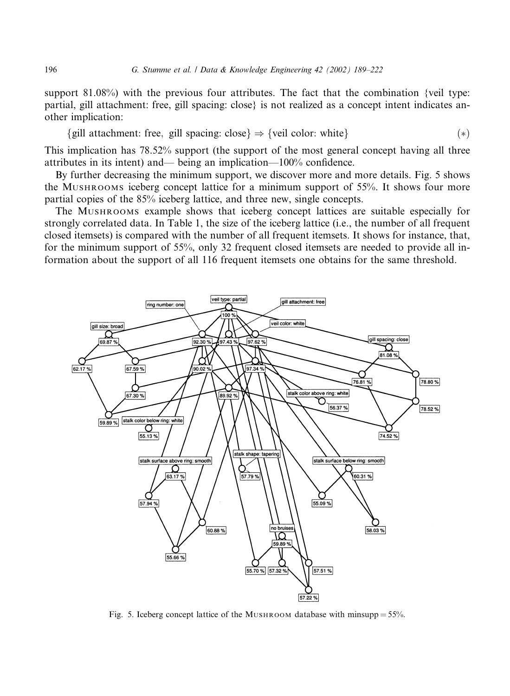support 81.08%) with the previous four attributes. The fact that the combination {veil type: partial, gill attachment: free, gill spacing: close} is not realized as a concept intent indicates another implication:

fgill attachment: free, gill spacing: close  $\} \Rightarrow$  {veil color: white} (\*)

This implication has 78.52% support (the support of the most general concept having all three attributes in its intent) and–– being an implication––100% confidence.

By further decreasing the minimum support, we discover more and more details. Fig. 5 shows the MUSHROOMS iceberg concept lattice for a minimum support of 55%. It shows four more partial copies of the 85% iceberg lattice, and three new, single concepts.

The MUSHROOMS example shows that iceberg concept lattices are suitable especially for strongly correlated data. In Table 1, the size of the iceberg lattice (i.e., the number of all frequent closed itemsets) is compared with the number of all frequent itemsets. It shows for instance, that, for the minimum support of 55%, only 32 frequent closed itemsets are needed to provide all information about the support of all 116 frequent itemsets one obtains for the same threshold.



Fig. 5. Iceberg concept lattice of the MUSHROOM database with minsupp =  $55\%$ .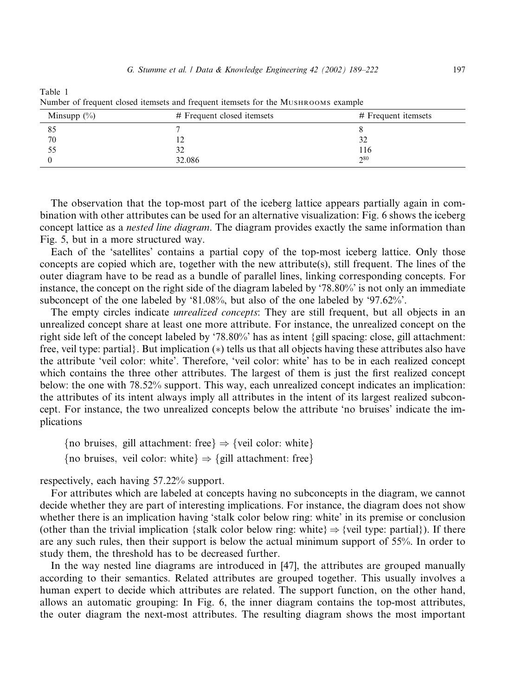| <u>Thence, of frequent eroped neinbelo and frequent neinbelo for the fire-principal enteripie</u> |                            |                     |  |  |  |
|---------------------------------------------------------------------------------------------------|----------------------------|---------------------|--|--|--|
| Minsupp $(\%)$                                                                                    | # Frequent closed itemsets | # Frequent itemsets |  |  |  |
| 85                                                                                                |                            |                     |  |  |  |
| 70                                                                                                |                            |                     |  |  |  |
| CC                                                                                                |                            | 116                 |  |  |  |
|                                                                                                   | 32.086                     | 280                 |  |  |  |

Table 1 Number of frequent closed itemsets and frequent itemsets for the MUSHROOMS example

The observation that the top-most part of the iceberg lattice appears partially again in combination with other attributes can be used for an alternative visualization: Fig. 6 shows the iceberg concept lattice as a nested line diagram. The diagram provides exactly the same information than Fig. 5, but in a more structured way.

Each of the 'satellites' contains a partial copy of the top-most iceberg lattice. Only those concepts are copied which are, together with the new attribute(s), still frequent. The lines of the outer diagram have to be read as a bundle of parallel lines, linking corresponding concepts. For instance, the concept on the right side of the diagram labeled by '78.80%' is not only an immediate subconcept of the one labeled by '81.08%, but also of the one labeled by '97.62%'.

The empty circles indicate *unrealized concepts*: They are still frequent, but all objects in an unrealized concept share at least one more attribute. For instance, the unrealized concept on the right side left of the concept labeled by '78.80%' has as intent {gill spacing: close, gill attachment: free, veil type: partial}. But implication  $(*)$  tells us that all objects having these attributes also have the attribute 'veil color: white'. Therefore, 'veil color: white' has to be in each realized concept which contains the three other attributes. The largest of them is just the first realized concept below: the one with 78.52% support. This way, each unrealized concept indicates an implication: the attributes of its intent always imply all attributes in the intent of its largest realized subconcept. For instance, the two unrealized concepts below the attribute 'no bruises' indicate the implications

{no bruises, gill attachment: free}  $\Rightarrow$  {veil color: white} {no bruises, veil color: white}  $\Rightarrow$  {gill attachment: free}

respectively, each having 57.22% support.

For attributes which are labeled at concepts having no subconcepts in the diagram, we cannot decide whether they are part of interesting implications. For instance, the diagram does not show whether there is an implication having 'stalk color below ring: white' in its premise or conclusion (other than the trivial implication {stalk color below ring: white}  $\Rightarrow$  {veil type: partial}). If there are any such rules, then their support is below the actual minimum support of 55%. In order to study them, the threshold has to be decreased further.

In the way nested line diagrams are introduced in [47], the attributes are grouped manually according to their semantics. Related attributes are grouped together. This usually involves a human expert to decide which attributes are related. The support function, on the other hand, allows an automatic grouping: In Fig. 6, the inner diagram contains the top-most attributes, the outer diagram the next-most attributes. The resulting diagram shows the most important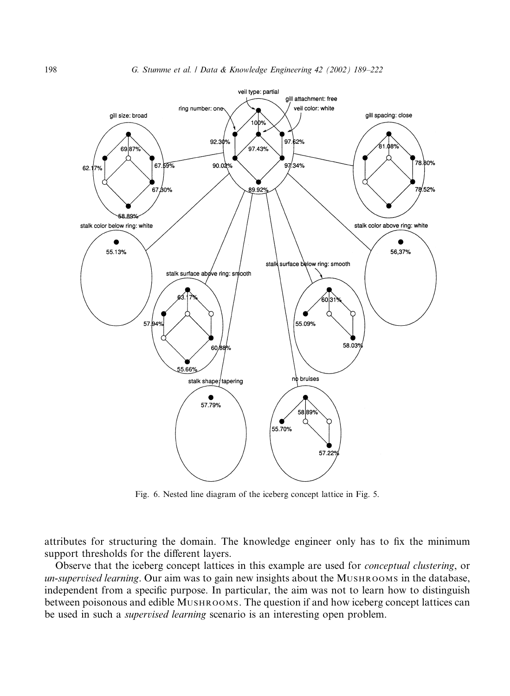

Fig. 6. Nested line diagram of the iceberg concept lattice in Fig. 5.

attributes for structuring the domain. The knowledge engineer only has to fix the minimum support thresholds for the different layers.

Observe that the iceberg concept lattices in this example are used for conceptual clustering, or un-supervised learning. Our aim was to gain new insights about the MUSHROOMS in the database, independent from a specific purpose. In particular, the aim was not to learn how to distinguish between poisonous and edible MUSHROOMS. The question if and how iceberg concept lattices can be used in such a supervised learning scenario is an interesting open problem.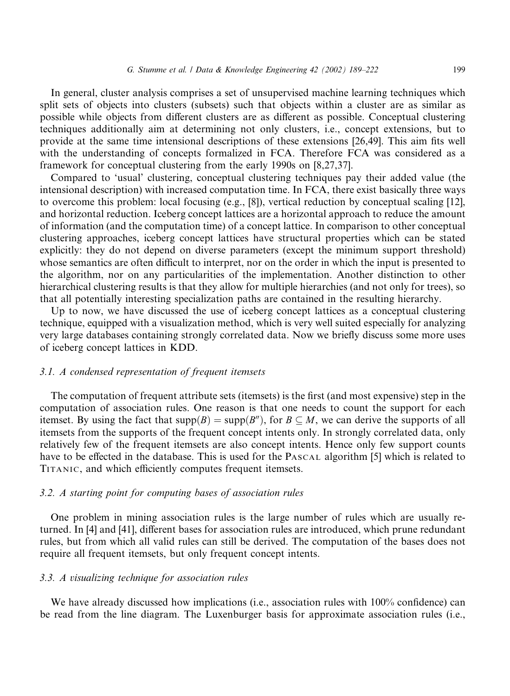In general, cluster analysis comprises a set of unsupervised machine learning techniques which split sets of objects into clusters (subsets) such that objects within a cluster are as similar as possible while objects from different clusters are as different as possible. Conceptual clustering techniques additionally aim at determining not only clusters, i.e., concept extensions, but to provide at the same time intensional descriptions of these extensions [26,49]. This aim fits well with the understanding of concepts formalized in FCA. Therefore FCA was considered as a framework for conceptual clustering from the early 1990s on [8,27,37].

Compared to 'usual' clustering, conceptual clustering techniques pay their added value (the intensional description) with increased computation time. In FCA, there exist basically three ways to overcome this problem: local focusing (e.g., [8]), vertical reduction by conceptual scaling [12], and horizontal reduction. Iceberg concept lattices are a horizontal approach to reduce the amount of information (and the computation time) of a concept lattice. In comparison to other conceptual clustering approaches, iceberg concept lattices have structural properties which can be stated explicitly: they do not depend on diverse parameters (except the minimum support threshold) whose semantics are often difficult to interpret, nor on the order in which the input is presented to the algorithm, nor on any particularities of the implementation. Another distinction to other hierarchical clustering results is that they allow for multiple hierarchies (and not only for trees), so that all potentially interesting specialization paths are contained in the resulting hierarchy.

Up to now, we have discussed the use of iceberg concept lattices as a conceptual clustering technique, equipped with a visualization method, which is very well suited especially for analyzing very large databases containing strongly correlated data. Now we briefly discuss some more uses of iceberg concept lattices in KDD.

## 3.1. A condensed representation of frequent itemsets

The computation of frequent attribute sets (itemsets) is the first (and most expensive) step in the computation of association rules. One reason is that one needs to count the support for each itemset. By using the fact that  $\text{supp}(B) = \text{supp}(B'')$ , for  $B \subseteq M$ , we can derive the supports of all itemsets from the supports of the frequent concept intents only. In strongly correlated data, only relatively few of the frequent itemsets are also concept intents. Hence only few support counts have to be effected in the database. This is used for the PASCAL algorithm [5] which is related to TITANIC, and which efficiently computes frequent itemsets.

#### 3.2. A starting point for computing bases of association rules

One problem in mining association rules is the large number of rules which are usually returned. In [4] and [41], different bases for association rules are introduced, which prune redundant rules, but from which all valid rules can still be derived. The computation of the bases does not require all frequent itemsets, but only frequent concept intents.

## 3.3. A visualizing technique for association rules

We have already discussed how implications (i.e., association rules with 100% confidence) can be read from the line diagram. The Luxenburger basis for approximate association rules (i.e.,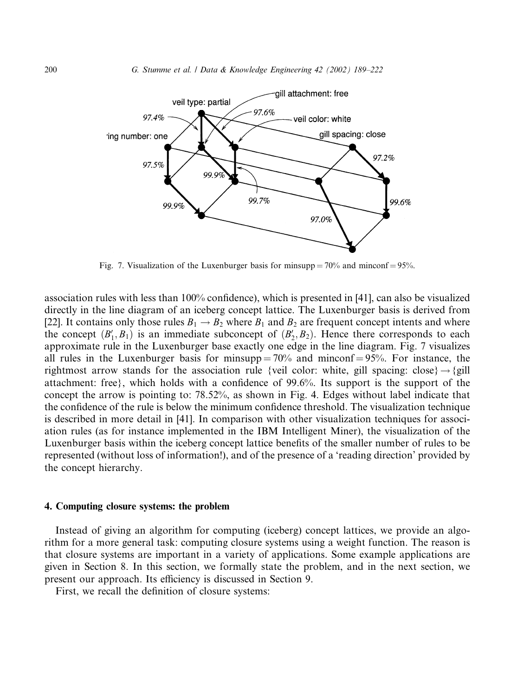

Fig. 7. Visualization of the Luxenburger basis for minsupp =  $70\%$  and minconf =  $95\%$ .

association rules with less than 100% confidence), which is presented in [41], can also be visualized directly in the line diagram of an iceberg concept lattice. The Luxenburger basis is derived from [22]. It contains only those rules  $B_1 \rightarrow B_2$  where  $B_1$  and  $B_2$  are frequent concept intents and where the concept  $(B'_1, B_1)$  is an immediate subconcept of  $(B'_2, B_2)$ . Hence there corresponds to each approximate rule in the Luxenburger base exactly one edge in the line diagram. Fig. 7 visualizes all rules in the Luxenburger basis for minsupp  $= 70\%$  and minconf  $= 95\%$ . For instance, the rightmost arrow stands for the association rule {veil color: white, gill spacing: close}  $\rightarrow$  {gill attachment: free}, which holds with a confidence of 99.6%. Its support is the support of the concept the arrow is pointing to: 78.52%, as shown in Fig. 4. Edges without label indicate that the confidence of the rule is below the minimum confidence threshold. The visualization technique is described in more detail in [41]. In comparison with other visualization techniques for association rules (as for instance implemented in the IBM Intelligent Miner), the visualization of the Luxenburger basis within the iceberg concept lattice benefits of the smaller number of rules to be represented (without loss of information!), and of the presence of a 'reading direction' provided by the concept hierarchy.

## 4. Computing closure systems: the problem

Instead of giving an algorithm for computing (iceberg) concept lattices, we provide an algorithm for a more general task: computing closure systems using a weight function. The reason is that closure systems are important in a variety of applications. Some example applications are given in Section 8. In this section, we formally state the problem, and in the next section, we present our approach. Its efficiency is discussed in Section 9.

First, we recall the definition of closure systems: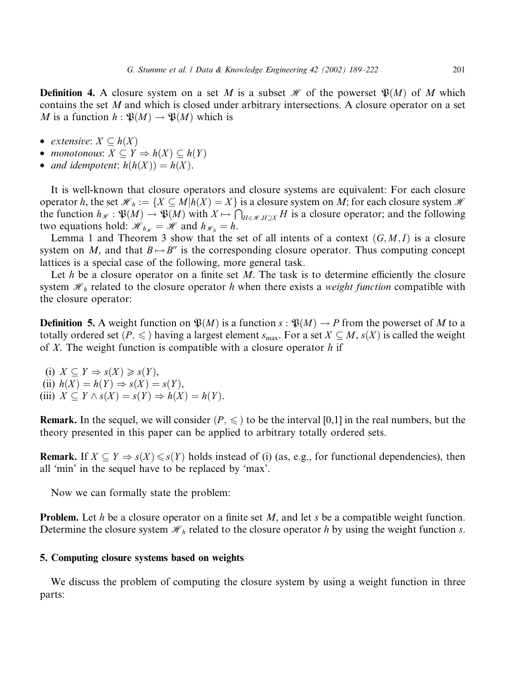**Definition 4.** A closure system on a set M is a subset  $\mathcal{H}$  of the powerset  $\mathcal{B}(M)$  of M which contains the set M and which is closed under arbitrary intersections. A closure operator on a set M is a function  $h : \mathfrak{B}(M) \to \mathfrak{B}(M)$  which is

- extensive:  $X \subseteq h(X)$
- monotonous:  $X \subseteq Y \Rightarrow h(X) \subseteq h(Y)$
- and idempotent:  $h(h(X)) = h(X)$ .

It is well-known that closure operators and closure systems are equivalent: For each closure operator h, the set  $\mathcal{H}_h := \{X \subseteq M | h(X) = X\}$  is a closure system on M; for each closure system  $\mathcal{H}$ the function  $h_{\mathscr{H}} : \mathfrak{P}(M) \to \mathfrak{P}(M)$  with  $X \mapsto \bigcap_{H \in \mathscr{H}, H \supseteq X} H$  is a closure operator; and the following two equations hold:  $\mathcal{H}_{h_{\mathcal{H}}} = \mathcal{H}$  and  $h_{\mathcal{H}_h} = h$ .

Lemma 1 and Theorem 3 show that the set of all intents of a context  $(G, M, I)$  is a closure system on M, and that  $B \mapsto B''$  is the corresponding closure operator. Thus computing concept lattices is a special case of the following, more general task.

Let h be a closure operator on a finite set M. The task is to determine efficiently the closure system  $\mathcal{H}_h$  related to the closure operator h when there exists a *weight function* compatible with the closure operator:

**Definition 5.** A weight function on  $\mathfrak{P}(M)$  is a function  $s : \mathfrak{P}(M) \to P$  from the powerset of M to a totally ordered set  $(P, \leq)$  having a largest element  $s_{\text{max}}$ . For a set  $X \subseteq M$ ,  $s(X)$  is called the weight of  $X$ . The weight function is compatible with a closure operator  $h$  if

(i)  $X \subseteq Y \Rightarrow s(X) \geqslant s(Y)$ , (ii)  $h(X) = h(Y) \Rightarrow s(X) = s(Y)$ , (iii)  $X \subseteq Y \wedge s(X) = s(Y) \Rightarrow h(X) = h(Y)$ .

**Remark.** In the sequel, we will consider  $(P, \leq)$  to be the interval [0,1] in the real numbers, but the theory presented in this paper can be applied to arbitrary totally ordered sets.

**Remark.** If  $X \subseteq Y \Rightarrow s(X) \le s(Y)$  holds instead of (i) (as, e.g., for functional dependencies), then all 'min' in the sequel have to be replaced by 'max'.

Now we can formally state the problem:

**Problem.** Let h be a closure operator on a finite set  $M$ , and let s be a compatible weight function. Determine the closure system  $\mathcal{H}_h$  related to the closure operator h by using the weight function s.

## 5. Computing closure systems based on weights

We discuss the problem of computing the closure system by using a weight function in three parts: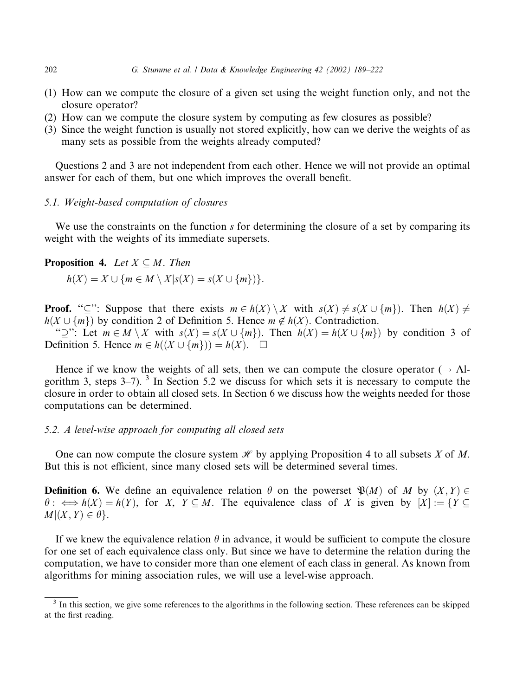- (1) How can we compute the closure of a given set using the weight function only, and not the closure operator?
- (2) How can we compute the closure system by computing as few closures as possible?
- (3) Since the weight function is usually not stored explicitly, how can we derive the weights of as many sets as possible from the weights already computed?

Questions 2 and 3 are not independent from each other. Hence we will not provide an optimal answer for each of them, but one which improves the overall benefit.

## 5.1. Weight-based computation of closures

We use the constraints on the function s for determining the closure of a set by comparing its weight with the weights of its immediate supersets.

## **Proposition 4.** Let  $X \subseteq M$ . Then

 $h(X) = X \cup \{m \in M \setminus X | s(X) = s(X \cup \{m\})\}.$ 

**Proof.** "C": Suppose that there exists  $m \in h(X) \setminus X$  with  $s(X) \neq s(X \cup \{m\})$ . Then  $h(X) \neq$  $h(X \cup \{m\})$  by condition 2 of Definition 5. Hence  $m \notin h(X)$ . Contradiction.

" $\sup$ ": Let  $m \in M \setminus X$  with  $s(X) = s(X \cup \{m\})$ . Then  $h(X) = h(X \cup \{m\})$  by condition 3 of Definition 5. Hence  $m \in h((X \cup \{m\})) = h(X)$ .

Hence if we know the weights of all sets, then we can compute the closure operator ( $\rightarrow$  Algorithm 3, steps  $3-7$ ). <sup>3</sup> In Section 5.2 we discuss for which sets it is necessary to compute the closure in order to obtain all closed sets. In Section 6 we discuss how the weights needed for those computations can be determined.

## 5.2. A level-wise approach for computing all closed sets

One can now compute the closure system  $\mathcal H$  by applying Proposition 4 to all subsets X of M. But this is not efficient, since many closed sets will be determined several times.

**Definition 6.** We define an equivalence relation  $\theta$  on the powerset  $\mathfrak{P}(M)$  of M by  $(X, Y) \in$  $\theta: \iff h(X) = h(Y)$ , for X,  $Y \subseteq M$ . The equivalence class of X is given by  $[X] := \{Y \subseteq$  $M|(X, Y) \in \theta$ .

If we knew the equivalence relation  $\theta$  in advance, it would be sufficient to compute the closure for one set of each equivalence class only. But since we have to determine the relation during the computation, we have to consider more than one element of each class in general. As known from algorithms for mining association rules, we will use a level-wise approach.

<sup>&</sup>lt;sup>3</sup> In this section, we give some references to the algorithms in the following section. These references can be skipped at the first reading.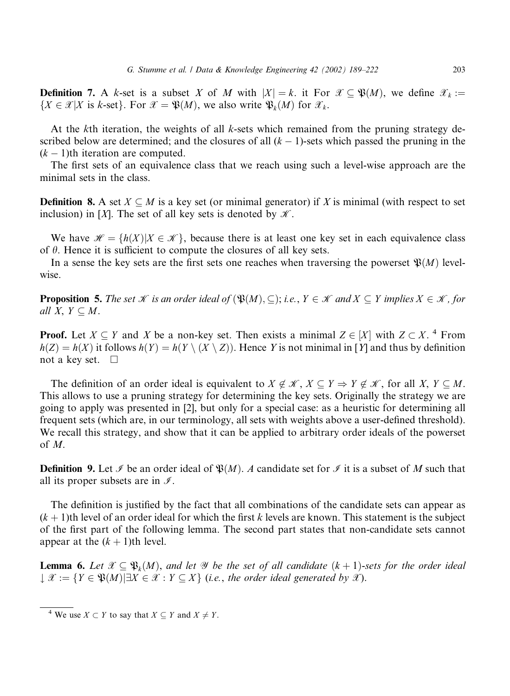**Definition 7.** A k-set is a subset X of M with  $|X| = k$ . it For  $\mathcal{X} \subseteq \mathfrak{P}(M)$ , we define  $\mathcal{X}_k :=$  $\{X \in \mathcal{X}| X \text{ is } k\text{-set} \}.$  For  $\mathcal{X} = \mathfrak{P}(M)$ , we also write  $\mathfrak{P}_k(M)$  for  $\mathcal{X}_k$ .

At the kth iteration, the weights of all  $k$ -sets which remained from the pruning strategy described below are determined; and the closures of all  $(k - 1)$ -sets which passed the pruning in the  $(k - 1)$ th iteration are computed.

The first sets of an equivalence class that we reach using such a level-wise approach are the minimal sets in the class.

**Definition 8.** A set  $X \subseteq M$  is a key set (or minimal generator) if X is minimal (with respect to set inclusion) in [X]. The set of all key sets is denoted by  $\mathcal{K}$ .

We have  $\mathcal{H} = \{h(X)|X \in \mathcal{K}\}\$ , because there is at least one key set in each equivalence class of  $\theta$ . Hence it is sufficient to compute the closures of all key sets.

In a sense the key sets are the first sets one reaches when traversing the powerset  $\mathfrak{P}(M)$  levelwise.

**Proposition 5.** The set  $\mathscr K$  is an order ideal of  $(\mathfrak B(M), \subset)$ ; i.e.,  $Y \in \mathscr K$  and  $X \subset Y$  implies  $X \in \mathscr K$ , for all  $X, Y \subseteq M$ .

**Proof.** Let  $X \subseteq Y$  and X be a non-key set. Then exists a minimal  $Z \in [X]$  with  $Z \subset X$ . <sup>4</sup> From  $h(Z) = h(X)$  it follows  $h(Y) = h(Y \setminus (X \setminus Z))$ . Hence Y is not minimal in [Y] and thus by definition not a key set.  $\Box$ 

The definition of an order ideal is equivalent to  $X \notin \mathcal{K}, X \subseteq Y \Rightarrow Y \notin \mathcal{K}$ , for all X,  $Y \subseteq M$ . This allows to use a pruning strategy for determining the key sets. Originally the strategy we are going to apply was presented in [2], but only for a special case: as a heuristic for determining all frequent sets (which are, in our terminology, all sets with weights above a user-defined threshold). We recall this strategy, and show that it can be applied to arbitrary order ideals of the powerset of M.

**Definition 9.** Let  $\mathcal{I}$  be an order ideal of  $\mathfrak{P}(M)$ . A candidate set for  $\mathcal{I}$  it is a subset of M such that all its proper subsets are in  $\mathcal{I}$ .

The definition is justified by the fact that all combinations of the candidate sets can appear as  $(k + 1)$ th level of an order ideal for which the first k levels are known. This statement is the subject of the first part of the following lemma. The second part states that non-candidate sets cannot appear at the  $(k + 1)$ th level.

**Lemma 6.** Let  $\mathcal{X} \subseteq \mathfrak{P}_k(M)$ , and let  $\mathcal{Y}$  be the set of all candidate  $(k+1)$ -sets for the order ideal  $\downarrow \mathscr{X} := \{ Y \in \mathfrak{P}(M) | \exists X \in \mathscr{X} : Y \subseteq X \}$  (i.e., the order ideal generated by  $\mathscr{X}$ ).

<sup>&</sup>lt;sup>4</sup> We use  $X \subset Y$  to say that  $X \subset Y$  and  $X \neq Y$ .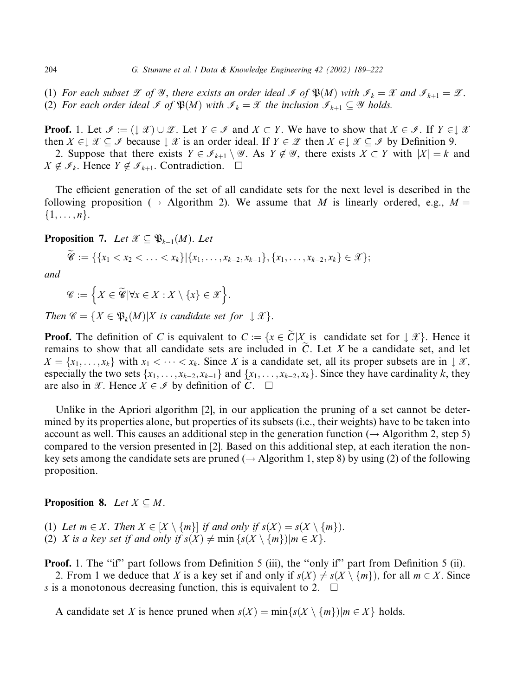(1) For each subset  $\mathscr X$  of  $\mathscr Y$ , there exists an order ideal  $\mathscr I$  of  $\mathfrak P(M)$  with  $\mathscr I_k = \mathscr X$  and  $\mathscr I_{k+1} = \mathscr X$ . (2) For each order ideal  $\mathcal I$  of  $\mathfrak P(M)$  with  $\mathcal I_k = \mathcal X$  the inclusion  $\mathcal I_{k+1} \subseteq \mathcal Y$  holds.

**Proof.** 1. Let  $\mathcal{I} := (\downarrow \mathcal{X}) \cup \mathcal{Z}$ . Let  $Y \in \mathcal{I}$  and  $X \subset Y$ . We have to show that  $X \in \mathcal{I}$ . If  $Y \in \downarrow \mathcal{X}$ then  $X \in \mathcal{X} \subset \mathcal{I}$  because  $\downarrow \mathcal{X}$  is an order ideal. If  $Y \in \mathcal{Z}$  then  $X \in \mathcal{X} \subset \mathcal{I}$  by Definition 9.

2. Suppose that there exists  $Y \in \mathcal{I}_{k+1} \setminus \mathcal{Y}$ . As  $Y \notin \mathcal{Y}$ , there exists  $X \subset Y$  with  $|X| = k$  and  $X \notin \mathscr{I}_k$ . Hence  $Y \notin \mathscr{I}_{k+1}$ . Contradiction.  $\Box$ 

The efficient generation of the set of all candidate sets for the next level is described in the following proposition ( $\rightarrow$  Algorithm 2). We assume that M is linearly ordered, e.g.,  $M =$  $\{1,\ldots,n\}.$ 

**Proposition 7.** Let  $\mathcal{X} \subseteq \mathfrak{P}_{k-1}(M)$ . Let

$$
\mathscr{C} := \{ \{x_1 < x_2 < \ldots < x_k \} | \{x_1, \ldots, x_{k-2}, x_{k-1}\}, \{x_1, \ldots, x_{k-2}, x_k\} \in \mathscr{X} \};
$$

and

$$
\mathscr{C} := \Big\{ X \in \widetilde{\mathscr{C}} | \forall x \in X : X \setminus \{x\} \in \mathscr{X} \Big\}.
$$

Then  $\mathscr{C} = \{X \in \mathfrak{P}_k(M)|X$  is candidate set for  $\downarrow \mathscr{X}$ .

**Proof.** The definition of C is equivalent to  $C := \{x \in \widetilde{C} | X \text{ is } \text{ candidate set for } \downarrow \mathcal{X}\}\.$  Hence it remains to show that all candidate sets are included in  $C$ . Let X be a candidate set, and let  $X = \{x_1, \ldots, x_k\}$  with  $x_1 < \cdots < x_k$ . Since X is a candidate set, all its proper subsets are in  $\downarrow \mathcal{X}$ , especially the two sets  $\{x_1, \ldots, x_{k-2}, x_{k-1}\}$  and  $\{x_1, \ldots, x_{k-2}, x_k\}$ . Since they have cardinality k, they are also in X. Hence  $X \in \mathcal{I}$  by definition of  $\widetilde{C}$ .  $\Box$ 

Unlike in the Apriori algorithm [2], in our application the pruning of a set cannot be determined by its properties alone, but properties of its subsets (i.e., their weights) have to be taken into account as well. This causes an additional step in the generation function ( $\rightarrow$  Algorithm 2, step 5) compared to the version presented in [2]. Based on this additional step, at each iteration the nonkey sets among the candidate sets are pruned ( $\rightarrow$  Algorithm 1, step 8) by using (2) of the following proposition.

## **Proposition 8.** Let  $X \subseteq M$ .

(1) Let  $m \in X$ . Then  $X \in [X \setminus \{m\}]$  if and only if  $s(X) = s(X \setminus \{m\})$ . (2) X is a key set if and only if  $s(X) \neq \min \{ s(X \setminus \{m\}) | m \in X \}.$ 

**Proof.** 1. The "if" part follows from Definition 5 (iii), the "only if" part from Definition 5 (ii).

2. From 1 we deduce that X is a key set if and only if  $s(X) \neq s(X \setminus \{m\})$ , for all  $m \in X$ . Since s is a monotonous decreasing function, this is equivalent to 2.  $\Box$ 

A candidate set X is hence pruned when  $s(X) = \min\{s(X \setminus \{m\}) | m \in X\}$  holds.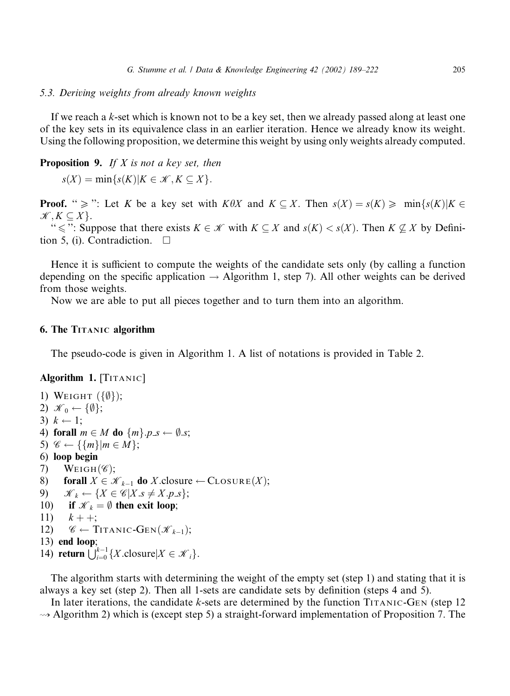#### 5.3. Deriving weights from already known weights

If we reach a  $k$ -set which is known not to be a key set, then we already passed along at least one of the key sets in its equivalence class in an earlier iteration. Hence we already know its weight. Using the following proposition, we determine this weight by using only weights already computed.

**Proposition 9.** If  $X$  is not a key set, then  $s(X) = \min\{s(K)|K \in \mathcal{K}, K \subseteq X\}.$ 

**Proof.** " $\geq$ ": Let K be a key set with  $K\theta X$  and  $K \subseteq X$ . Then  $s(X) = s(K) \geq \min\{s(K)|K\in X\}$  $\mathcal{K}, K \subseteq X$ .

" $\leq$ ": Suppose that there exists  $K \in \mathcal{K}$  with  $K \subseteq X$  and  $s(K) \leq s(X)$ . Then  $K \nsubseteq X$  by Definition 5, (i). Contradiction.  $\Box$ 

Hence it is sufficient to compute the weights of the candidate sets only (by calling a function depending on the specific application  $\rightarrow$  Algorithm 1, step 7). All other weights can be derived from those weights.

Now we are able to put all pieces together and to turn them into an algorithm.

#### 6. The TITANIC algorithm

The pseudo-code is given in Algorithm 1. A list of notations is provided in Table 2.

## Algorithm 1. [TITANIC]

```
1) WEIGHT ({\emptyset});
2) \mathscr{K}_0 \leftarrow {\emptyset};3) k \leftarrow 1;
4) forall m \in M do \{m\}.p_s \leftarrow \emptyset.s;5) \mathscr{C} \leftarrow \{\{m\}|m \in M\};6) loop begin
7) WEIGH(\mathscr{C});
8) forall X \in \mathcal{K}_{k-1} do X.closure \leftarrow CLOSURE(X);
9) \mathcal{K}_k \leftarrow \{ X \in \mathcal{C} | X.s \neq X.p_s \};10) if \mathcal{K}_k = \emptyset then exit loop;
11) k + 1;
12) \mathscr{C} \leftarrow \text{Tranic-GEN}(\mathscr{K}_{k-1});13) end loop;
14) return \bigcup_{i=0}^{k-1} {X \text{.closure}|X \in \mathcal{K}_i}.
```
The algorithm starts with determining the weight of the empty set (step 1) and stating that it is always a key set (step 2). Then all 1-sets are candidate sets by definition (steps 4 and 5).

In later iterations, the candidate  $k$ -sets are determined by the function  $T_{ITANIC}$ -GEN (step 12)  $\rightsquigarrow$  Algorithm 2) which is (except step 5) a straight-forward implementation of Proposition 7. The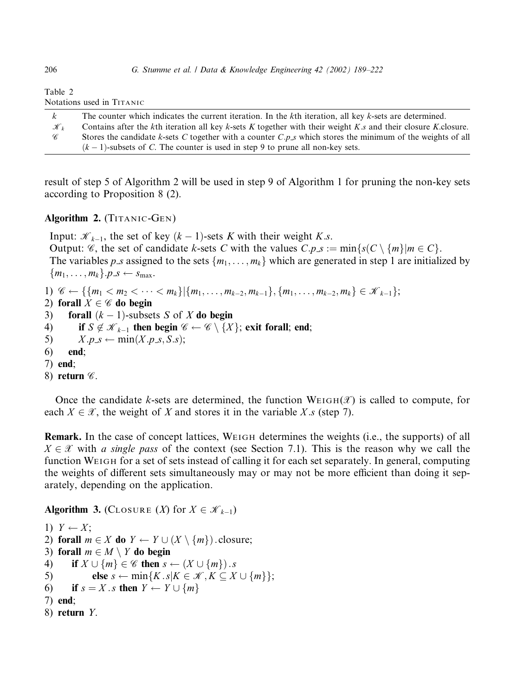| Table 2                   |  |  |
|---------------------------|--|--|
| Notations used in TITANIC |  |  |

| The counter which indicates the current iteration. In the kth iteration, all key k-sets are determined.       |
|---------------------------------------------------------------------------------------------------------------|
| Contains after the kth iteration all key k-sets K together with their weight K s and their closure K closure. |
| Stores the candidate k-sets C together with a counter $C.p.s$ which stores the minimum of the weights of all  |
|                                                                                                               |
|                                                                                                               |

result of step 5 of Algorithm 2 will be used in step 9 of Algorithm 1 for pruning the non-key sets according to Proposition 8 (2).

## Algorithm 2. (TITANIC-GEN)

Input:  $\mathcal{K}_{k-1}$ , the set of key  $(k-1)$ -sets K with their weight K.s. Output:  $\mathcal{C}$ , the set of candidate k-sets C with the values  $C.p.s := \min\{s(C \setminus \{m\} | m \in C\})$ . The variables  $p_s$  assigned to the sets  $\{m_1, \ldots, m_k\}$  which are generated in step 1 are initialized by  ${m_1, \ldots, m_k}.$   $p_s \leftarrow s_{\text{max}}.$ 

1)  $\mathscr{C} \leftarrow \{\{m_1 < m_2 < \cdots < m_k\}|\{m_1, \ldots, m_{k-2}, m_{k-1}\}, \{m_1, \ldots, m_{k-2}, m_k\} \in \mathscr{K}_{k-1}\};$ 

- 2) forall  $X \in \mathscr{C}$  do begin
- 3) for all  $(k 1)$ -subsets S of X do begin
- 4) if  $S \notin \mathcal{K}_{k-1}$  then begin  $\mathcal{C} \leftarrow \mathcal{C} \setminus \{X\}$ ; exit forall; end;
- 5)  $X.p.s \leftarrow min(X.p.s, S.s);$
- 6) end;
- 7) end;
- 8) return  $\mathscr{C}$ .

Once the candidate k-sets are determined, the function  $W_{EIGH}(\mathcal{X})$  is called to compute, for each  $X \in \mathcal{X}$ , the weight of X and stores it in the variable X.s (step 7).

Remark. In the case of concept lattices, WEIGH determines the weights (i.e., the supports) of all  $X \in \mathcal{X}$  with a single pass of the context (see Section 7.1). This is the reason why we call the function WEIGH for a set of sets instead of calling it for each set separately. In general, computing the weights of different sets simultaneously may or may not be more efficient than doing it separately, depending on the application.

**Algorithm 3.** (CLOSURE *(X)* for  $X \in \mathcal{K}_{k-1}$ )

```
1) Y \leftarrow X;
2) forall m \in X do Y \leftarrow Y \cup (X \setminus \{m\}). closure;
3) forall m \in M \setminus Y do begin
4) if X \cup \{m\} \in \mathscr{C} then s \leftarrow (X \cup \{m\}).s
5) else s \leftarrow \min\{K \cdot s | K \in \mathcal{K}, K \subseteq X \cup \{m\}\};6) if s = X is then Y \leftarrow Y \cup \{m\}7) end;
8) return Y.
```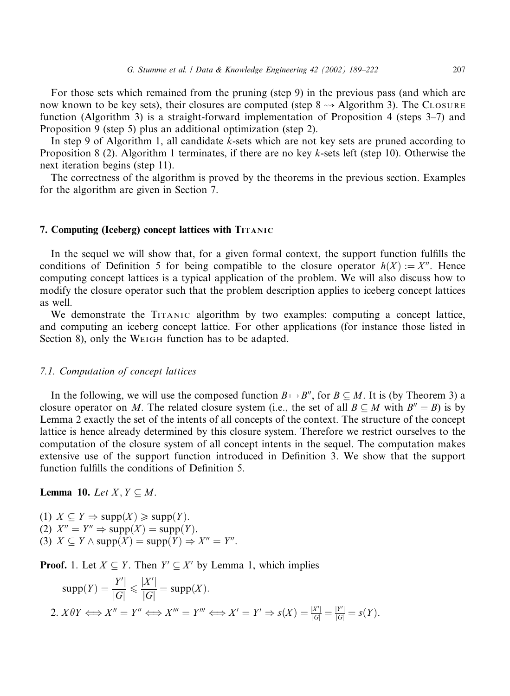For those sets which remained from the pruning (step 9) in the previous pass (and which are now known to be key sets), their closures are computed (step  $8 \rightsquigarrow$  Algorithm 3). The CLOSURE function (Algorithm 3) is a straight-forward implementation of Proposition 4 (steps 3–7) and Proposition 9 (step 5) plus an additional optimization (step 2).

In step 9 of Algorithm 1, all candidate  $k$ -sets which are not key sets are pruned according to Proposition 8 (2). Algorithm 1 terminates, if there are no key  $k$ -sets left (step 10). Otherwise the next iteration begins (step 11).

The correctness of the algorithm is proved by the theorems in the previous section. Examples for the algorithm are given in Section 7.

## 7. Computing (Iceberg) concept lattices with TITANIC

In the sequel we will show that, for a given formal context, the support function fulfills the conditions of Definition 5 for being compatible to the closure operator  $h(X) := X''$ . Hence computing concept lattices is a typical application of the problem. We will also discuss how to modify the closure operator such that the problem description applies to iceberg concept lattices as well.

We demonstrate the TITANIC algorithm by two examples: computing a concept lattice, and computing an iceberg concept lattice. For other applications (for instance those listed in Section 8), only the WEIGH function has to be adapted.

## 7.1. Computation of concept lattices

In the following, we will use the composed function  $B \mapsto B''$ , for  $B \subset M$ . It is (by Theorem 3) a closure operator on M. The related closure system (i.e., the set of all  $B \subseteq M$  with  $B'' = B$ ) is by Lemma 2 exactly the set of the intents of all concepts of the context. The structure of the concept lattice is hence already determined by this closure system. Therefore we restrict ourselves to the computation of the closure system of all concept intents in the sequel. The computation makes extensive use of the support function introduced in Definition 3. We show that the support function fulfills the conditions of Definition 5.

**Lemma 10.** Let  $X, Y \subseteq M$ .

(1)  $X \subseteq Y \Rightarrow supp(X) \geq supp(Y)$ . (2)  $X'' = Y'' \Rightarrow \text{supp}(X) = \text{supp}(Y)$ . (3)  $X \subseteq Y \wedge \text{supp}(X) = \text{supp}(Y) \Rightarrow X'' = Y''$ .

**Proof.** 1. Let  $X \subseteq Y$ . Then  $Y' \subseteq X'$  by Lemma 1, which implies

$$
\text{supp}(Y) = \frac{|Y'|}{|G|} \leq \frac{|X'|}{|G|} = \text{supp}(X).
$$
  
2.  $X\theta Y \iff X'' = Y'' \iff X''' = Y''' \iff X' = Y' \Rightarrow s(X) = \frac{|X'|}{|G|} = \frac{|Y'|}{|G|} = s(Y).$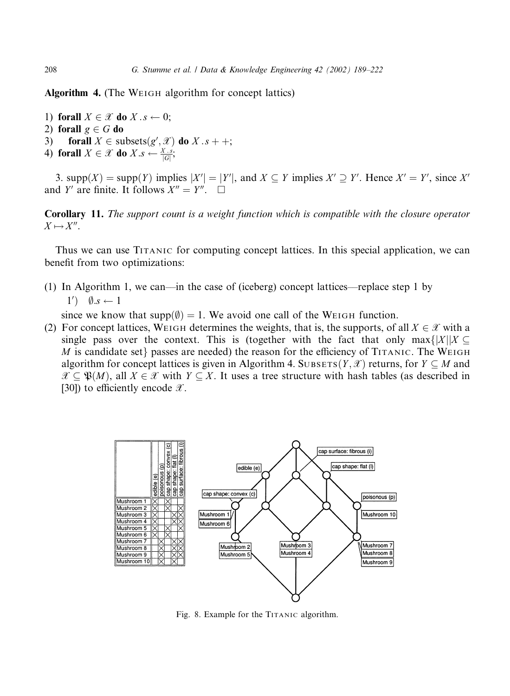Algorithm 4. (The WEIGH algorithm for concept lattics)

1) forall  $X \in \mathcal{X}$  do  $X \cdot s \leftarrow 0$ ; 2) forall  $g \in G$  do 3) for all  $X \in \text{subsets}(g', \mathcal{X})$  do  $X \cdot s + +$ ; 4) forall  $X \in \mathscr{X}$  do  $X.s \leftarrow \frac{X.s}{|G|};$ 

3. supp $(X)$  = supp $(Y)$  implies  $|X'| = |Y'|$ , and  $X \subseteq Y$  implies  $X' \supseteq Y'$ . Hence  $X' = Y'$ , since  $X'$ and Y' are finite. It follows  $X'' = Y''$ .  $\Box$ 

Corollary 11. The support count is a weight function which is compatible with the closure operator  $X \mapsto X''$ .

Thus we can use TITANIC for computing concept lattices. In this special application, we can benefit from two optimizations:

(1) In Algorithm 1, we can––in the case of (iceberg) concept lattices––replace step 1 by  $1'$ )  $\emptyset.s \leftarrow 1$ 

since we know that  $\text{supp}(\emptyset) = 1$ . We avoid one call of the WEIGH function.

(2) For concept lattices, WEIGH determines the weights, that is, the supports, of all  $X \in \mathcal{X}$  with a single pass over the context. This is (together with the fact that only  $\max\{|X||X \subseteq$ M is candidate set passes are needed) the reason for the efficiency of TITANIC. The WEIGH algorithm for concept lattices is given in Algorithm 4. SUBSETS $(Y, \mathcal{X})$  returns, for  $Y \subseteq M$  and  $\mathscr{X} \subseteq \mathfrak{P}(M)$ , all  $X \in \mathscr{X}$  with  $Y \subseteq X$ . It uses a tree structure with hash tables (as described in [30]) to efficiently encode  $\mathscr{X}$ .



Fig. 8. Example for the TITANIC algorithm.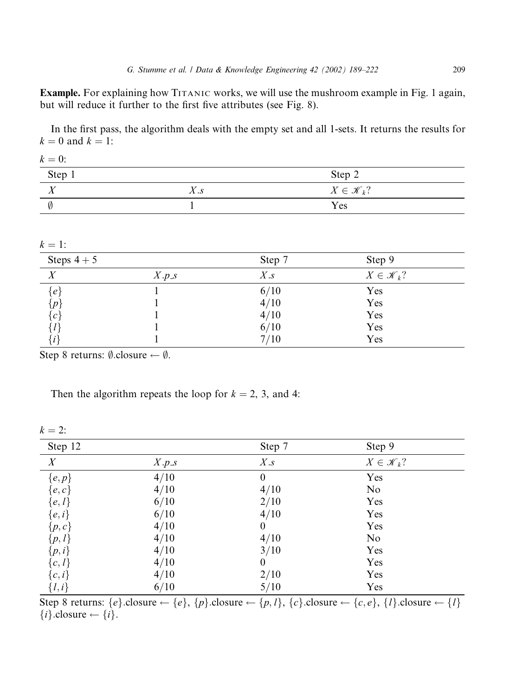Example. For explaining how TITANIC works, we will use the mushroom example in Fig. 1 again, but will reduce it further to the first five attributes (see Fig. 8).

In the first pass, the algorithm deals with the empty set and all 1-sets. It returns the results for  $k = 0$  and  $k = 1$ :

| $k=0$ :   |     |                         |  |
|-----------|-----|-------------------------|--|
| Step 1    |     | Step 2                  |  |
| $\Lambda$ | X.s | $X \in \mathcal{K}_k$ ? |  |
| N         |     | Yes                     |  |

 $k = 1$ :

| Steps $4+5$ |       | Step 7 | Step 9                  |
|-------------|-------|--------|-------------------------|
| X           | X.p.s | X.s    | $X \in \mathcal{K}_k$ ? |
| $\{e\}$     |       | 6/10   | Yes                     |
| $\{p\}$     |       | 4/10   | Yes                     |
| $\{c\}$     |       | 4/10   | Yes                     |
| $\{l\}$     |       | 6/10   | Yes                     |
| $\{i\}$     |       | 7/10   | Yes                     |

Step 8 returns:  $\emptyset$ .closure  $\leftarrow \emptyset$ .

Then the algorithm repeats the loop for  $k = 2$ , 3, and 4:

| $k = 2$ :        |       |                  |                     |
|------------------|-------|------------------|---------------------|
| Step 12          |       | Step 7           | Step 9              |
| $\boldsymbol{X}$ | X.p.s | X.s              | $X \in \mathcal{K}$ |
| $\{e,p\}$        | 4/10  | $\theta$         | Yes                 |
| $\{e, c\}$       | 4/10  | 4/10             | N <sub>0</sub>      |
| $\{e,l\}$        | 6/10  | 2/10             | Yes                 |
| $\{e,i\}$        | 6/10  | 4/10             | Yes                 |
| $\{p,c\}$        | 4/10  | $\boldsymbol{0}$ | Yes                 |
| $\{p, l\}$       | 4/10  | 4/10             | N <sub>0</sub>      |
| $\{p,i\}$        | 4/10  | 3/10             | Yes                 |
| $\{c,l\}$        | 4/10  | 0                | Yes                 |
| $\{c,i\}$        | 4/10  | 2/10             | Yes                 |

Step 8 returns:  $\{e\}$ .closure  $\leftarrow \{e\}$ ,  $\{p\}$ .closure  $\leftarrow \{p, l\}$ ,  $\{c\}$ .closure  $\leftarrow \{c, e\}$ ,  $\{l\}$ .closure  $\leftarrow \{l\}$  $\{i\}$ .closure  $\leftarrow \{i\}.$ 

 $\{l, i\}$  6/10 5/10 Yes

 $X \in \mathcal{K}_k$ ?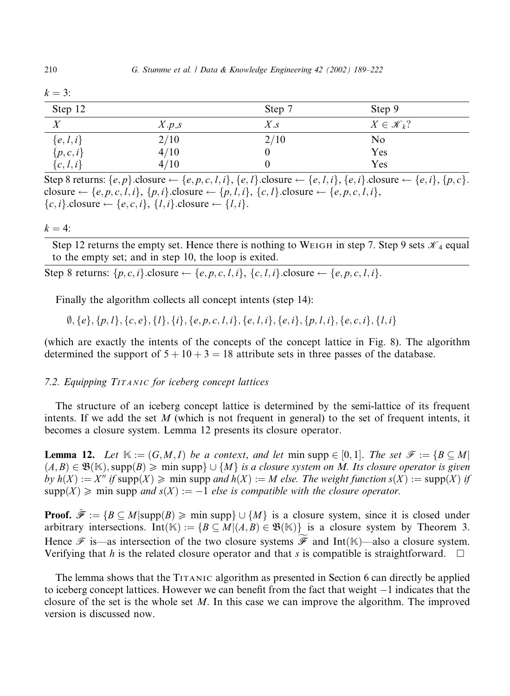| Step 12     |         | Step 7 | Step 9                  |
|-------------|---------|--------|-------------------------|
|             | $X.p_s$ | X.s    | $X \in \mathcal{K}_k$ ? |
| $\{e,l,i\}$ | 2/10    | 2/10   | No                      |
| $\{p,c,i\}$ | 4/10    |        | Yes                     |
| $\{c,l,i\}$ | 4/10    |        | Yes                     |

Step 8 returns:  $\{e, p\}$ .closure  $\leftarrow \{e, p, c, l, i\}$ ,  $\{e, l\}$ .closure  $\leftarrow \{e, l, i\}$ ,  $\{e, i\}$ .closure  $\leftarrow \{e, i\}$ ,  $\{p, c\}$ . closure  $\leftarrow \{e, p, c, l, i\}, \{p, i\}$ .closure  $\leftarrow \{p, l, i\}, \{c, l\}$ .closure  $\leftarrow \{e, p, c, l, i\},$  ${c, i}$ .closure  $\leftarrow {e, c, i}$ ,  ${l, i}$ .closure  $\leftarrow {l, i}$ .

## $k = 4$ :

Step 12 returns the empty set. Hence there is nothing to WEIGH in step 7. Step 9 sets  $\mathcal{K}_4$  equal to the empty set; and in step 10, the loop is exited.

Step 8 returns:  $\{p, c, i\}$ .closure  $\leftarrow \{e, p, c, l, i\}$ ,  $\{c, l, i\}$ .closure  $\leftarrow \{e, p, c, l, i\}$ .

Finally the algorithm collects all concept intents (step 14):

$$
\emptyset, \{e\}, \{p,l\}, \{c,e\}, \{l\}, \{i\}, \{e,p,c,l,i\}, \{e,l,i\}, \{e,i\}, \{p,l,i\}, \{e,c,i\}, \{l,i\}
$$

(which are exactly the intents of the concepts of the concept lattice in Fig. 8). The algorithm determined the support of  $5 + 10 + 3 = 18$  attribute sets in three passes of the database.

## 7.2. Equipping TITANIC for iceberg concept lattices

The structure of an iceberg concept lattice is determined by the semi-lattice of its frequent intents. If we add the set  $M$  (which is not frequent in general) to the set of frequent intents, it becomes a closure system. Lemma 12 presents its closure operator.

**Lemma 12.** Let  $\mathbb{K} := (G, M, I)$  be a context, and let min supp  $\in [0, 1]$ . The set  $\mathcal{F} := \{B \subseteq M |$  $(A, B) \in \mathfrak{B}(\mathbb{K}), \text{supp}(B) \geqslant \min \text{supp}\}\cup \{M\}$  is a closure system on M. Its closure operator is given by  $h(X) := X''$  if  $\text{supp}(X) \geqslant \min \text{supp} \text{ and } h(X) := M$  else. The weight function  $s(X) := \text{supp}(X)$  if  $supp(X) \geq \min supp and s(X) := -1$  else is compatible with the closure operator.

**Proof.**  $\mathscr{F} := \{B \subseteq M | \text{supp}(B) \geqslant \text{min supp}\} \cup \{M\}$  is a closure system, since it is closed under arbitrary intersections. Int(K) := { $B \subseteq M | (A, B) \in \mathfrak{B}(\mathbb{K})$ } is a closure system by Theorem 3. Hence  $\mathscr F$  is—as intersection of the two closure systems  $\widetilde{\mathscr F}$  and Int(K)—also a closure system. Verifying that h is the related closure operator and that s is compatible is straightforward.  $\Box$ 

The lemma shows that the TITANIC algorithm as presented in Section 6 can directly be applied to iceberg concept lattices. However we can benefit from the fact that weight  $-1$  indicates that the closure of the set is the whole set M. In this case we can improve the algorithm. The improved version is discussed now.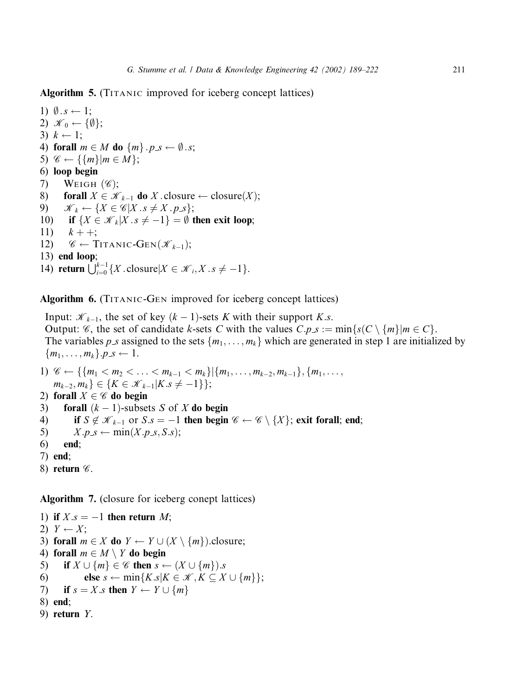Algorithm 5. (TITANIC improved for iceberg concept lattices)

1)  $\emptyset$  .  $s \leftarrow 1$ ; 2)  $\mathscr{K}_0 \leftarrow {\emptyset};$ 3)  $k \leftarrow 1$ ; 4) forall  $m \in M$  do  $\{m\} \cdot p\_s \leftarrow \emptyset \cdot s;$ 5)  $\mathscr{C} \leftarrow {\{m\}}|m \in M$ ; 6) loop begin 7) WEIGH  $(\mathscr{C})$ ; 8) forall  $X \in \mathcal{K}_{k-1}$  do X : closure  $\leftarrow$  closure $(X)$ ; 9)  $\mathscr{K}_k \leftarrow \{ X \in \mathscr{C} | X \cdot s \neq X \cdot p \cdot s \};$ 10) if  $\{X \in \mathcal{K}_k | X \cdot s \neq -1\} = \emptyset$  then exit loop; 11)  $k + 1$ ; 12)  $\mathscr{C} \leftarrow \text{Tranic-Gen}(\mathscr{K}_{k-1});$ 13) end loop; 14) return  $\bigcup_{i=0}^{k-1} {X \text{.closure}|X \in \mathcal{K}_i, X.s \neq -1}.$ 

Algorithm 6. (TITANIC-GEN improved for iceberg concept lattices)

Input:  $\mathcal{K}_{k-1}$ , the set of key  $(k-1)$ -sets K with their support K.s. Output:  $\mathscr{C}$ , the set of candidate k-sets C with the values  $C.p.s := \min\{s(C) \mid \{m\} | m \in C\}$ . The variables p s assigned to the sets  $\{m_1, \ldots, m_k\}$  which are generated in step 1 are initialized by  ${m_1, \ldots, m_k}. p_s \leftarrow 1.$ 

- 1)  $\mathscr{C} \leftarrow \{\{m_1 < m_2 < \ldots < m_{k-1} < m_k\}|\{m_1, \ldots, m_{k-2}, m_{k-1}\}\, \{m_1, \ldots, m_{k-1}\}\}$  $m_{k-2}, m_k \} \in \{ K \in \mathcal{K}_{k-1} | K.s \neq -1 \} \};$
- 2) forall  $X \in \mathscr{C}$  do begin
- 3) for all  $(k 1)$ -subsets S of X do begin
- 4) if  $S \notin \mathcal{K}_{k-1}$  or  $S.s = -1$  then begin  $\mathcal{C} \leftarrow \mathcal{C} \setminus \{X\}$ ; exit forall; end;
- 5)  $X.p.s \leftarrow min(X.p.s, S.s);$
- 6) end;
- 7) end;
- 8) return  $\mathscr C$ .

Algorithm 7. (closure for iceberg conept lattices)

```
1) if X.s = -1 then return M;
2) Y \leftarrow X;
3) forall m \in X do Y \leftarrow Y \cup (X \setminus \{m\}).closure;
4) forall m \in M \setminus Y do begin
5) if X \cup \{m\} \in \mathscr{C} then s \leftarrow (X \cup \{m\}).s
6) else s \leftarrow \min\{K.s | K \in \mathcal{K}, K \subseteq X \cup \{m\}\};7) if s = X \cdot s then Y \leftarrow Y \cup \{m\}8) end;
9) return Y.
```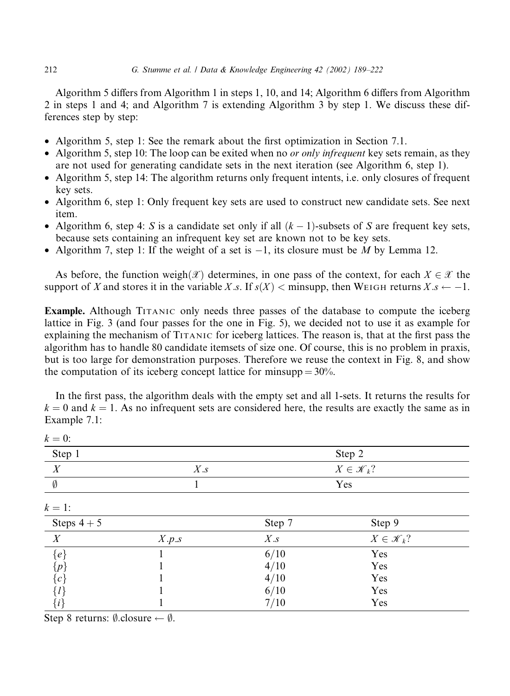Algorithm 5 differs from Algorithm 1 in steps 1, 10, and 14; Algorithm 6 differs from Algorithm 2 in steps 1 and 4; and Algorithm 7 is extending Algorithm 3 by step 1. We discuss these differences step by step:

- Algorithm 5, step 1: See the remark about the first optimization in Section 7.1.
- Algorithm 5, step 10: The loop can be exited when no *or only infrequent* key sets remain, as they are not used for generating candidate sets in the next iteration (see Algorithm 6, step 1).
- Algorithm 5, step 14: The algorithm returns only frequent intents, i.e. only closures of frequent key sets.
- Algorithm 6, step 1: Only frequent key sets are used to construct new candidate sets. See next item.
- Algorithm 6, step 4: S is a candidate set only if all  $(k 1)$ -subsets of S are frequent key sets, because sets containing an infrequent key set are known not to be key sets.
- Algorithm 7, step 1: If the weight of a set is  $-1$ , its closure must be M by Lemma 12.

As before, the function weigh $(\mathcal{X})$  determines, in one pass of the context, for each  $X \in \mathcal{X}$  the support of X and stores it in the variable X.s. If  $s(X)$  < minsupp, then WEIGH returns  $X.s \leftarrow -1$ .

Example. Although TITANIC only needs three passes of the database to compute the iceberg lattice in Fig. 3 (and four passes for the one in Fig. 5), we decided not to use it as example for explaining the mechanism of TITANIC for iceberg lattices. The reason is, that at the first pass the algorithm has to handle 80 candidate itemsets of size one. Of course, this is no problem in praxis, but is too large for demonstration purposes. Therefore we reuse the context in Fig. 8, and show the computation of its iceberg concept lattice for minsupp  $= 30\%$ .

| In the first pass, the algorithm deals with the empty set and all 1-sets. It returns the results for    |  |  |  |  |  |  |  |
|---------------------------------------------------------------------------------------------------------|--|--|--|--|--|--|--|
| $k = 0$ and $k = 1$ . As no infrequent sets are considered here, the results are exactly the same as in |  |  |  |  |  |  |  |
| Example $7.1$ :                                                                                         |  |  |  |  |  |  |  |

| $k=0$ :          |       |        |                         |  |
|------------------|-------|--------|-------------------------|--|
| Step 1           |       |        | Step 2                  |  |
| X                | X.s   |        | $X \in \mathcal{K}_k$ ? |  |
| $\emptyset$      |       |        | Yes                     |  |
| $k=1$ :          |       |        |                         |  |
| Steps $4+5$      |       | Step 7 | Step 9                  |  |
| $\boldsymbol{X}$ | X.p.s | X.s    | $X \in \mathcal{K}_k$ ? |  |
| $\{e\}$          |       | 6/10   | Yes                     |  |
| $\{p\}$          |       | 4/10   | Yes                     |  |
| $\{c\}$          |       | 4/10   | Yes                     |  |
| $\{l\}$          |       | 6/10   | Yes                     |  |
| $\{i\}$          |       | 7/10   | Yes                     |  |

Step 8 returns:  $\emptyset$ .closure  $\leftarrow \emptyset$ .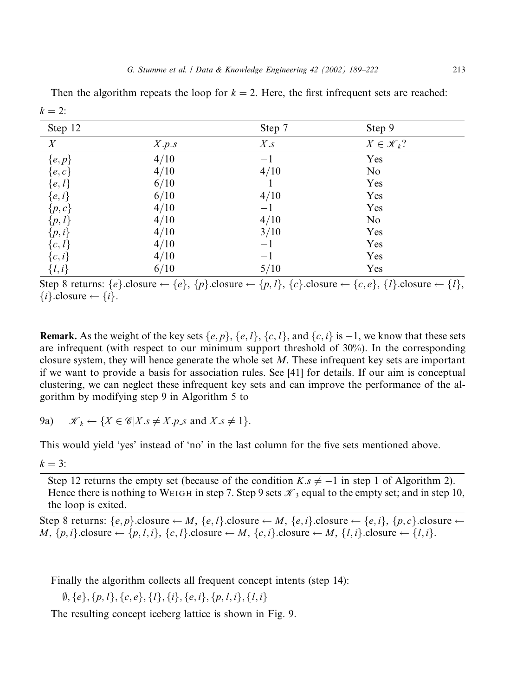| Step 12          |       | Step 7 | Step 9                  |  |
|------------------|-------|--------|-------------------------|--|
| $\boldsymbol{X}$ | X.p.s | X.s    | $X \in \mathcal{K}_k$ ? |  |
| $\{e,p\}$        | 4/10  | $-1$   | Yes                     |  |
| $\{e,c\}$        | 4/10  | 4/10   | No                      |  |
| $\{e,l\}$        | 6/10  | $-1$   | Yes                     |  |
| $\{e,i\}$        | 6/10  | 4/10   | Yes                     |  |
| $\{p,c\}$        | 4/10  | $-1$   | Yes                     |  |
| $\{p,l\}$        | 4/10  | 4/10   | No                      |  |
| $\{p,i\}$        | 4/10  | 3/10   | Yes                     |  |
| $\{c,l\}$        | 4/10  | $-1$   | Yes                     |  |
| $\{c,i\}$        | 4/10  | $-1$   | Yes                     |  |
| $\{l,i\}$        | 6/10  | 5/10   | Yes                     |  |

Then the algorithm repeats the loop for  $k = 2$ . Here, the first infrequent sets are reached:  $k = 2$ :

Step 8 returns:  $\{e\}$ .closure  $\leftarrow \{e\}$ ,  $\{p\}$ .closure  $\leftarrow \{p, l\}$ ,  $\{c\}$ .closure  $\leftarrow \{c, e\}$ ,  $\{l\}$ .closure  $\leftarrow \{l\}$ ,  $\{i\}$ .closure  $\leftarrow \{i\}$ .

**Remark.** As the weight of the key sets  $\{e, p\}$ ,  $\{e, l\}$ ,  $\{c, l\}$ , and  $\{c, i\}$  is  $-1$ , we know that these sets are infrequent (with respect to our minimum support threshold of 30%). In the corresponding closure system, they will hence generate the whole set  $M$ . These infrequent key sets are important if we want to provide a basis for association rules. See [41] for details. If our aim is conceptual clustering, we can neglect these infrequent key sets and can improve the performance of the algorithm by modifying step 9 in Algorithm 5 to

9a)  $\mathcal{K}_k \leftarrow \{ X \in \mathcal{C} | X.s \neq X.p.s \text{ and } X.s \neq 1 \}.$ 

This would yield 'yes' instead of 'no' in the last column for the five sets mentioned above.

 $k = 3$ :

Step 12 returns the empty set (because of the condition  $K.s \neq -1$  in step 1 of Algorithm 2). Hence there is nothing to WEIGH in step 7. Step 9 sets  $\mathcal{K}_3$  equal to the empty set; and in step 10, the loop is exited.

Step 8 returns:  $\{e, p\}$ .closure  $\leftarrow M$ ,  $\{e, l\}$ .closure  $\leftarrow M$ ,  $\{e, i\}$ .closure  $\leftarrow \{e, i\}$ ,  $\{p, c\}$ .closure  $\leftarrow$ M,  $\{p, i\}$ .closure  $\leftarrow \{p, l, i\}$ ,  $\{c, l\}$ .closure  $\leftarrow M$ ,  $\{c, i\}$ .closure  $\leftarrow M$ ,  $\{l, i\}$ .closure  $\leftarrow \{l, i\}$ .

Finally the algorithm collects all frequent concept intents (step 14):

 $\emptyset$ ,  $\{e\}$ ,  $\{p, l\}$ ,  $\{c, e\}$ ,  $\{l\}$ ,  $\{i\}$ ,  $\{e, i\}$ ,  $\{p, l, i\}$ ,  $\{l, i\}$ 

The resulting concept iceberg lattice is shown in Fig. 9.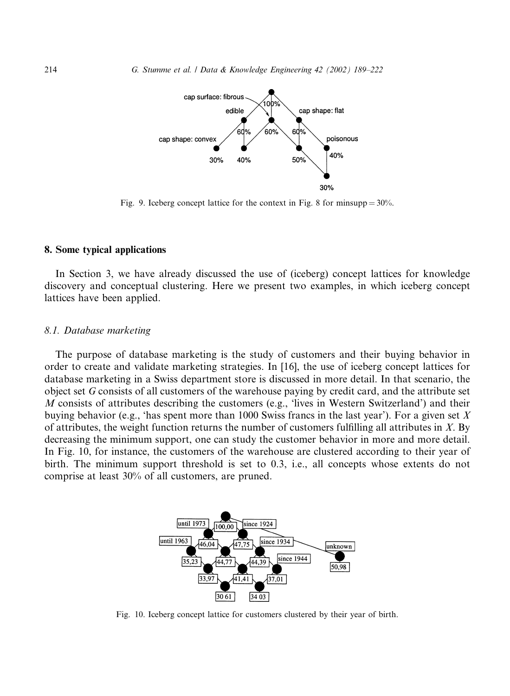

Fig. 9. Iceberg concept lattice for the context in Fig. 8 for minsupp =  $30\%$ .

#### 8. Some typical applications

In Section 3, we have already discussed the use of (iceberg) concept lattices for knowledge discovery and conceptual clustering. Here we present two examples, in which iceberg concept lattices have been applied.

## 8.1. Database marketing

The purpose of database marketing is the study of customers and their buying behavior in order to create and validate marketing strategies. In [16], the use of iceberg concept lattices for database marketing in a Swiss department store is discussed in more detail. In that scenario, the object set G consists of all customers of the warehouse paying by credit card, and the attribute set M consists of attributes describing the customers (e.g., 'lives in Western Switzerland') and their buying behavior (e.g., 'has spent more than 1000 Swiss francs in the last year'). For a given set X of attributes, the weight function returns the number of customers fulfilling all attributes in  $X$ . By decreasing the minimum support, one can study the customer behavior in more and more detail. In Fig. 10, for instance, the customers of the warehouse are clustered according to their year of birth. The minimum support threshold is set to 0.3, i.e., all concepts whose extents do not comprise at least 30% of all customers, are pruned.



Fig. 10. Iceberg concept lattice for customers clustered by their year of birth.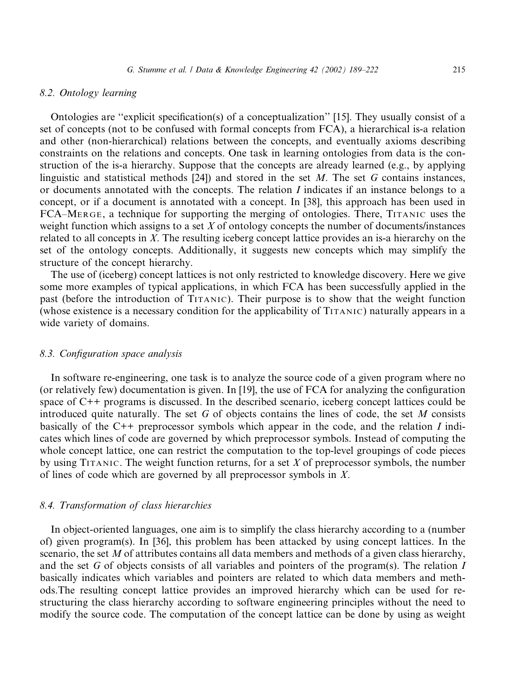#### 8.2. Ontology learning

Ontologies are ''explicit specification(s) of a conceptualization'' [15]. They usually consist of a set of concepts (not to be confused with formal concepts from FCA), a hierarchical is-a relation and other (non-hierarchical) relations between the concepts, and eventually axioms describing constraints on the relations and concepts. One task in learning ontologies from data is the construction of the is-a hierarchy. Suppose that the concepts are already learned (e.g., by applying linguistic and statistical methods  $[24]$  and stored in the set M. The set G contains instances, or documents annotated with the concepts. The relation I indicates if an instance belongs to a concept, or if a document is annotated with a concept. In [38], this approach has been used in FCA–MERGE, a technique for supporting the merging of ontologies. There, TITANIC uses the weight function which assigns to a set  $X$  of ontology concepts the number of documents/instances related to all concepts in X. The resulting iceberg concept lattice provides an is-a hierarchy on the set of the ontology concepts. Additionally, it suggests new concepts which may simplify the structure of the concept hierarchy.

The use of (iceberg) concept lattices is not only restricted to knowledge discovery. Here we give some more examples of typical applications, in which FCA has been successfully applied in the past (before the introduction of TITANIC). Their purpose is to show that the weight function (whose existence is a necessary condition for the applicability of TITANIC) naturally appears in a wide variety of domains.

## 8.3. Configuration space analysis

In software re-engineering, one task is to analyze the source code of a given program where no (or relatively few) documentation is given. In [19], the use of FCA for analyzing the configuration space of C++ programs is discussed. In the described scenario, iceberg concept lattices could be introduced quite naturally. The set G of objects contains the lines of code, the set  $M$  consists basically of the  $C++$  preprocessor symbols which appear in the code, and the relation I indicates which lines of code are governed by which preprocessor symbols. Instead of computing the whole concept lattice, one can restrict the computation to the top-level groupings of code pieces by using TITANIC. The weight function returns, for a set  $X$  of preprocessor symbols, the number of lines of code which are governed by all preprocessor symbols in X.

#### 8.4. Transformation of class hierarchies

In object-oriented languages, one aim is to simplify the class hierarchy according to a (number of) given program(s). In [36], this problem has been attacked by using concept lattices. In the scenario, the set  $M$  of attributes contains all data members and methods of a given class hierarchy, and the set G of objects consists of all variables and pointers of the program(s). The relation  $I$ basically indicates which variables and pointers are related to which data members and methods.The resulting concept lattice provides an improved hierarchy which can be used for restructuring the class hierarchy according to software engineering principles without the need to modify the source code. The computation of the concept lattice can be done by using as weight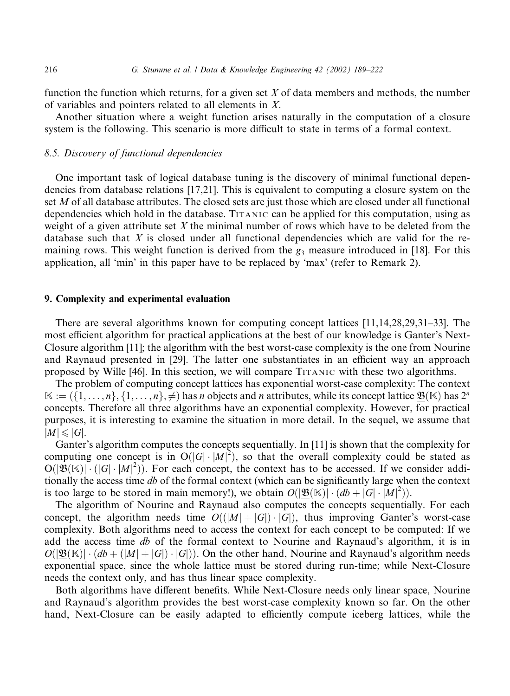function the function which returns, for a given set  $X$  of data members and methods, the number of variables and pointers related to all elements in X.

Another situation where a weight function arises naturally in the computation of a closure system is the following. This scenario is more difficult to state in terms of a formal context.

#### 8.5. Discovery of functional dependencies

One important task of logical database tuning is the discovery of minimal functional dependencies from database relations [17,21]. This is equivalent to computing a closure system on the set M of all database attributes. The closed sets are just those which are closed under all functional dependencies which hold in the database. TITANIC can be applied for this computation, using as weight of a given attribute set X the minimal number of rows which have to be deleted from the database such that  $X$  is closed under all functional dependencies which are valid for the remaining rows. This weight function is derived from the  $g_3$  measure introduced in [18]. For this application, all 'min' in this paper have to be replaced by 'max' (refer to Remark 2).

## 9. Complexity and experimental evaluation

There are several algorithms known for computing concept lattices [11,14,28,29,31–33]. The most efficient algorithm for practical applications at the best of our knowledge is Ganter's Next-Closure algorithm [11]; the algorithm with the best worst-case complexity is the one from Nourine and Raynaud presented in [29]. The latter one substantiates in an efficient way an approach proposed by Wille [46]. In this section, we will compare TITANIC with these two algorithms.

The problem of computing concept lattices has exponential worst-case complexity: The context  $\mathbb{K} := (\{1, \ldots, n\}, \{1, \ldots, n\}, \neq)$  has n objects and n attributes, while its concept lattice  $\mathfrak{B}(\mathbb{K})$  has  $2^n$ concepts. Therefore all three algorithms have an exponential complexity. However, for practical purposes, it is interesting to examine the situation in more detail. In the sequel, we assume that  $|M| \leqslant |G|$ .

Ganter's algorithm computes the concepts sequentially. In [11] is shown that the complexity for computing one concept is in  $O(|G| \cdot |M|^2)$ , so that the overall complexity could be stated as  $O(|\underline{\mathfrak{B}}(\mathbb{K})| \cdot (|G| \cdot |M|^2))$ . For each concept, the context has to be accessed. If we consider additionally the access time db of the formal context (which can be significantly large when the context is too large to be stored in main memory!), we obtain  $O(|\underline{\mathfrak{B}}(\mathbb{K})| \cdot (db + |G| \cdot |M|^2)).$ 

The algorithm of Nourine and Raynaud also computes the concepts sequentially. For each concept, the algorithm needs time  $O((|M|+|G|)\cdot |G|)$ , thus improving Ganter's worst-case complexity. Both algorithms need to access the context for each concept to be computed: If we add the access time db of the formal context to Nourine and Raynaud's algorithm, it is in  $O(|\mathfrak{B}(\mathbb{K})| \cdot (db + (|M|+|G|) \cdot |G|)).$  On the other hand, Nourine and Raynaud's algorithm needs exponential space, since the whole lattice must be stored during run-time; while Next-Closure needs the context only, and has thus linear space complexity.

Both algorithms have different benefits. While Next-Closure needs only linear space, Nourine and Raynaud's algorithm provides the best worst-case complexity known so far. On the other hand, Next-Closure can be easily adapted to efficiently compute iceberg lattices, while the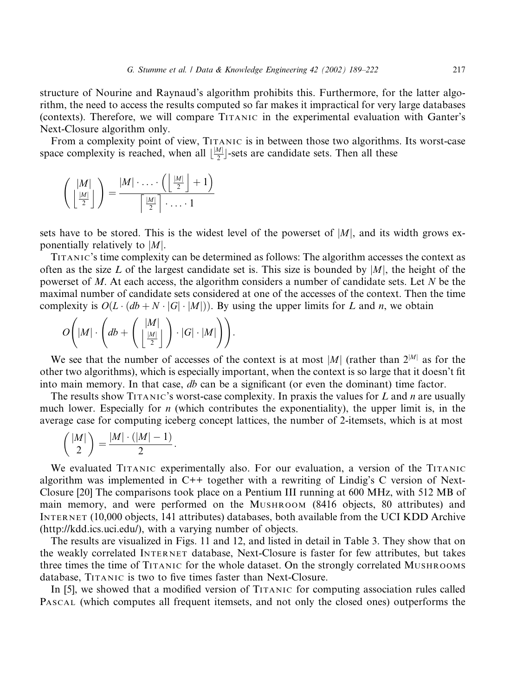structure of Nourine and Raynaud's algorithm prohibits this. Furthermore, for the latter algorithm, the need to access the results computed so far makes it impractical for very large databases (contexts). Therefore, we will compare TITANIC in the experimental evaluation with Ganter's Next-Closure algorithm only.

From a complexity point of view, TITANIC is in between those two algorithms. Its worst-case space complexity is reached, when all  $\lfloor \frac{M}{2} \rfloor$ -sets are candidate sets. Then all these

$$
\left(\begin{array}{c} |M| \\ \left\lfloor \frac{|M|}{2} \right\rfloor \end{array}\right) = \frac{|M| \cdot \ldots \cdot \left(\left\lfloor \frac{|M|}{2} \right\rfloor + 1\right)}{\left\lceil \frac{|M|}{2} \right\rceil \cdot \ldots \cdot 1}
$$

sets have to be stored. This is the widest level of the powerset of  $|M|$ , and its width grows exponentially relatively to  $|M|$ .

TITANIC's time complexity can be determined as follows: The algorithm accesses the context as often as the size L of the largest candidate set is. This size is bounded by  $|M|$ , the height of the powerset of M. At each access, the algorithm considers a number of candidate sets. Let N be the maximal number of candidate sets considered at one of the accesses of the context. Then the time complexity is  $O(L \cdot (db + N \cdot |G| \cdot |M|))$ . By using the upper limits for L and n, we obtain

$$
O\Bigg(|M| \cdot \Bigg(db + \Bigg(\left\lfloor \frac{|M|}{\frac{|M|}{2}}\right\rfloor\Bigg) \cdot |G| \cdot |M|\Bigg)\Bigg).
$$

We see that the number of accesses of the context is at most |M| (rather than  $2^{|M|}$  as for the other two algorithms), which is especially important, when the context is so large that it doesn't fit into main memory. In that case, *db* can be a significant (or even the dominant) time factor.

The results show  $T_{ITANIC}$ 's worst-case complexity. In praxis the values for L and n are usually much lower. Especially for  $n$  (which contributes the exponentiality), the upper limit is, in the average case for computing iceberg concept lattices, the number of 2-itemsets, which is at most

$$
\binom{|M|}{2} = \frac{|M| \cdot (|M| - 1)}{2}.
$$

We evaluated TITANIC experimentally also. For our evaluation, a version of the TITANIC algorithm was implemented in  $C++$  together with a rewriting of Lindig's C version of Next-Closure [20] The comparisons took place on a Pentium III running at 600 MHz, with 512 MB of main memory, and were performed on the MUSHROOM (8416 objects, 80 attributes) and INTERNET (10,000 objects, 141 attributes) databases, both available from the UCI KDD Archive (http://kdd.ics.uci.edu/), with a varying number of objects.

The results are visualized in Figs. 11 and 12, and listed in detail in Table 3. They show that on the weakly correlated INTERNET database, Next-Closure is faster for few attributes, but takes three times the time of TITANIC for the whole dataset. On the strongly correlated MUSHROOMS database, TITANIC is two to five times faster than Next-Closure.

In [5], we showed that a modified version of TITANIC for computing association rules called PASCAL (which computes all frequent itemsets, and not only the closed ones) outperforms the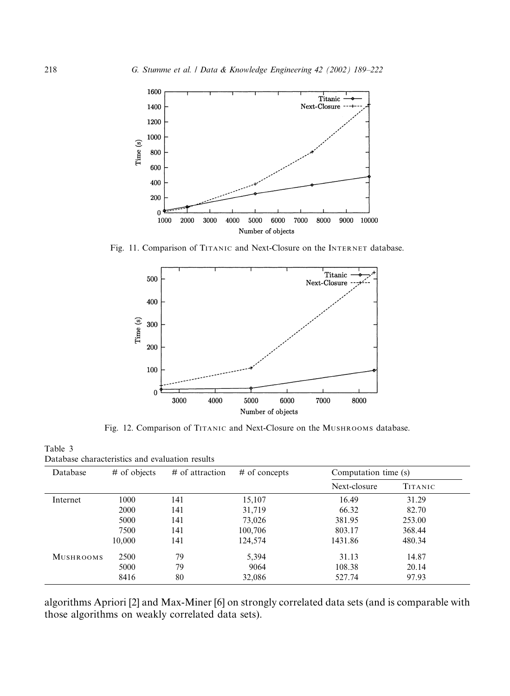

Fig. 11. Comparison of TITANIC and Next-Closure on the INTERNET database.



Fig. 12. Comparison of TITANIC and Next-Closure on the MUSHROOMS database.

| Table 3 |                                                 |  |  |
|---------|-------------------------------------------------|--|--|
|         | Database characteristics and evaluation results |  |  |

| Database         | # of objects | # of attraction | $#$ of concepts | Computation time (s) |                |  |
|------------------|--------------|-----------------|-----------------|----------------------|----------------|--|
|                  |              |                 |                 | Next-closure         | <b>TITANIC</b> |  |
| Internet         | 1000         | 141             | 15,107          | 16.49                | 31.29          |  |
|                  | 2000         | 141             | 31,719          | 66.32                | 82.70          |  |
|                  | 5000         | 141             | 73,026          | 381.95               | 253.00         |  |
|                  | 7500         | 141             | 100,706         | 803.17               | 368.44         |  |
|                  | 10,000       | 141             | 124,574         | 1431.86              | 480.34         |  |
| <b>MUSHROOMS</b> | 2500         | 79              | 5,394           | 31.13                | 14.87          |  |
|                  | 5000         | 79              | 9064            | 108.38               | 20.14          |  |
|                  | 8416         | 80              | 32,086          | 527.74               | 97.93          |  |

algorithms Apriori [2] and Max-Miner [6] on strongly correlated data sets (and is comparable with those algorithms on weakly correlated data sets).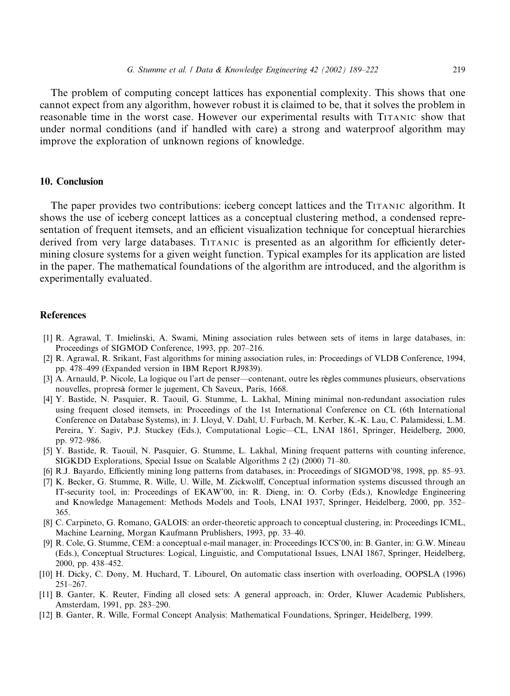The problem of computing concept lattices has exponential complexity. This shows that one cannot expect from any algorithm, however robust it is claimed to be, that it solves the problem in reasonable time in the worst case. However our experimental results with TITANIC show that under normal conditions (and if handled with care) a strong and waterproof algorithm may improve the exploration of unknown regions of knowledge.

## 10. Conclusion

The paper provides two contributions: iceberg concept lattices and the TITANIC algorithm. It shows the use of iceberg concept lattices as a conceptual clustering method, a condensed representation of frequent itemsets, and an efficient visualization technique for conceptual hierarchies derived from very large databases. TITANIC is presented as an algorithm for efficiently determining closure systems for a given weight function. Typical examples for its application are listed in the paper. The mathematical foundations of the algorithm are introduced, and the algorithm is experimentally evaluated.

## References

- [1] R. Agrawal, T. Imielinski, A. Swami, Mining association rules between sets of items in large databases, in: Proceedings of SIGMOD Conference, 1993, pp. 207–216.
- [2] R. Agrawal, R. Srikant, Fast algorithms for mining association rules, in: Proceedings of VLDB Conference, 1994, pp. 478–499 (Expanded version in IBM Report RJ9839).
- [3] A. Arnauld, P. Nicole, La logique ou l'art de penser—contenant, outre les règles communes plusieurs, observations nouvelles, propresà former le jugement, Ch Saveux, Paris, 1668.
- [4] Y. Bastide, N. Pasquier, R. Taouil, G. Stumme, L. Lakhal, Mining minimal non-redundant association rules using frequent closed itemsets, in: Proceedings of the 1st International Conference on CL (6th International Conference on Database Systems), in: J. Lloyd, V. Dahl, U. Furbach, M. Kerber, K.-K. Lau, C. Palamidessi, L.M. Pereira, Y. Sagiv, P.J. Stuckey (Eds.), Computational Logic—CL, LNAI 1861, Springer, Heidelberg, 2000, pp. 972–986.
- [5] Y. Bastide, R. Taouil, N. Pasquier, G. Stumme, L. Lakhal, Mining frequent patterns with counting inference, SIGKDD Explorations, Special Issue on Scalable Algorithms 2 (2) (2000) 71–80.
- [6] R.J. Bayardo, Efficiently mining long patterns from databases, in: Proceedings of SIGMOD'98, 1998, pp. 85–93.
- [7] K. Becker, G. Stumme, R. Wille, U. Wille, M. Zickwolff, Conceptual information systems discussed through an IT-security tool, in: Proceedings of EKAW'00, in: R. Dieng, in: O. Corby (Eds.), Knowledge Engineering and Knowledge Management: Methods Models and Tools, LNAI 1937, Springer, Heidelberg, 2000, pp. 352– 365.
- [8] C. Carpineto, G. Romano, GALOIS: an order-theoretic approach to conceptual clustering, in: Proceedings ICML, Machine Learning, Morgan Kaufmann Prublishers, 1993, pp. 33–40.
- [9] R. Cole, G. Stumme, CEM: a conceptual e-mail manager, in: Proceedings ICCS'00, in: B. Ganter, in: G.W. Mineau (Eds.), Conceptual Structures: Logical, Linguistic, and Computational Issues, LNAI 1867, Springer, Heidelberg, 2000, pp. 438–452.
- [10] H. Dicky, C. Dony, M. Huchard, T. Libourel, On automatic class insertion with overloading, OOPSLA (1996) 251–267.
- [11] B. Ganter, K. Reuter, Finding all closed sets: A general approach, in: Order, Kluwer Academic Publishers, Amsterdam, 1991, pp. 283–290.
- [12] B. Ganter, R. Wille, Formal Concept Analysis: Mathematical Foundations, Springer, Heidelberg, 1999.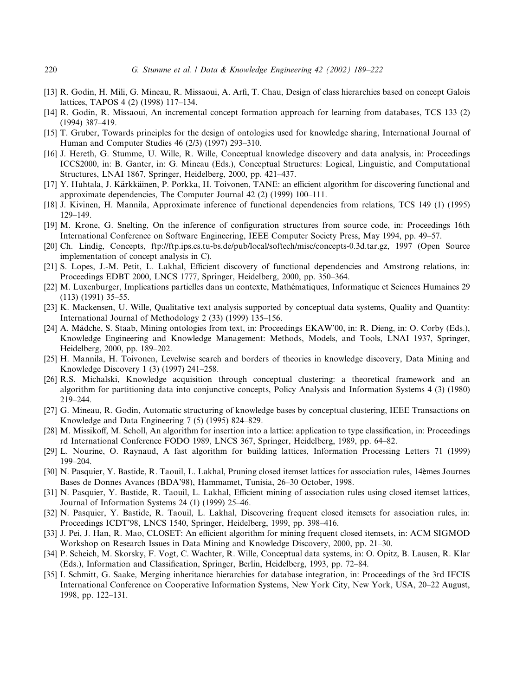- [13] R. Godin, H. Mili, G. Mineau, R. Missaoui, A. Arfi, T. Chau, Design of class hierarchies based on concept Galois lattices, TAPOS 4 (2) (1998) 117–134.
- [14] R. Godin, R. Missaoui, An incremental concept formation approach for learning from databases, TCS 133 (2) (1994) 387–419.
- [15] T. Gruber, Towards principles for the design of ontologies used for knowledge sharing, International Journal of Human and Computer Studies 46 (2/3) (1997) 293–310.
- [16] J. Hereth, G. Stumme, U. Wille, R. Wille, Conceptual knowledge discovery and data analysis, in: Proceedings ICCS2000, in: B. Ganter, in: G. Mineau (Eds.), Conceptual Structures: Logical, Linguistic, and Computational Structures, LNAI 1867, Springer, Heidelberg, 2000, pp. 421–437.
- [17] Y. Huhtala, J. Kärkkäinen, P. Porkka, H. Toivonen, TANE: an efficient algorithm for discovering functional and approximate dependencies, The Computer Journal 42 (2) (1999) 100–111.
- [18] J. Kivinen, H. Mannila, Approximate inference of functional dependencies from relations, TCS 149 (1) (1995) 129–149.
- [19] M. Krone, G. Snelting, On the inference of configuration structures from source code, in: Proceedings 16th International Conference on Software Engineering, IEEE Computer Society Press, May 1994, pp. 49–57.
- [20] Ch. Lindig, Concepts, ftp://ftp.ips.cs.tu-bs.de/pub/local/softech/misc/concepts-0.3d.tar.gz, 1997 (Open Source implementation of concept analysis in C).
- [21] S. Lopes, J.-M. Petit, L. Lakhal, Efficient discovery of functional dependencies and Amstrong relations, in: Proceedings EDBT 2000, LNCS 1777, Springer, Heidelberg, 2000, pp. 350–364.
- [22] M. Luxenburger, Implications partielles dans un contexte, Mathematiques, Informatique et Sciences Humaines 29 (113) (1991) 35–55.
- [23] K. Mackensen, U. Wille, Qualitative text analysis supported by conceptual data systems, Quality and Quantity: International Journal of Methodology 2 (33) (1999) 135–156.
- [24] A. Mädche, S. Staab, Mining ontologies from text, in: Proceedings EKAW'00, in: R. Dieng, in: O. Corby (Eds.), Knowledge Engineering and Knowledge Management: Methods, Models, and Tools, LNAI 1937, Springer, Heidelberg, 2000, pp. 189–202.
- [25] H. Mannila, H. Toivonen, Levelwise search and borders of theories in knowledge discovery, Data Mining and Knowledge Discovery 1 (3) (1997) 241–258.
- [26] R.S. Michalski, Knowledge acquisition through conceptual clustering: a theoretical framework and an algorithm for partitioning data into conjunctive concepts, Policy Analysis and Information Systems 4 (3) (1980) 219–244.
- [27] G. Mineau, R. Godin, Automatic structuring of knowledge bases by conceptual clustering, IEEE Transactions on Knowledge and Data Engineering 7 (5) (1995) 824–829.
- [28] M. Missikoff, M. Scholl, An algorithm for insertion into a lattice: application to type classification, in: Proceedings rd International Conference FODO 1989, LNCS 367, Springer, Heidelberg, 1989, pp. 64–82.
- [29] L. Nourine, O. Raynaud, A fast algorithm for building lattices, Information Processing Letters 71 (1999) 199–204.
- [30] N. Pasquier, Y. Bastide, R. Taouil, L. Lakhal, Pruning closed itemset lattices for association rules, 14èmes Journes Bases de Donnes Avances (BDA'98), Hammamet, Tunisia, 26–30 October, 1998.
- [31] N. Pasquier, Y. Bastide, R. Taouil, L. Lakhal, Efficient mining of association rules using closed itemset lattices, Journal of Information Systems 24 (1) (1999) 25–46.
- [32] N. Pasquier, Y. Bastide, R. Taouil, L. Lakhal, Discovering frequent closed itemsets for association rules, in: Proceedings ICDT'98, LNCS 1540, Springer, Heidelberg, 1999, pp. 398–416.
- [33] J. Pei, J. Han, R. Mao, CLOSET: An efficient algorithm for mining frequent closed itemsets, in: ACM SIGMOD Workshop on Research Issues in Data Mining and Knowledge Discovery, 2000, pp. 21–30.
- [34] P. Scheich, M. Skorsky, F. Vogt, C. Wachter, R. Wille, Conceptual data systems, in: O. Opitz, B. Lausen, R. Klar (Eds.), Information and Classification, Springer, Berlin, Heidelberg, 1993, pp. 72–84.
- [35] I. Schmitt, G. Saake, Merging inheritance hierarchies for database integration, in: Proceedings of the 3rd IFCIS International Conference on Cooperative Information Systems, New York City, New York, USA, 20–22 August, 1998, pp. 122–131.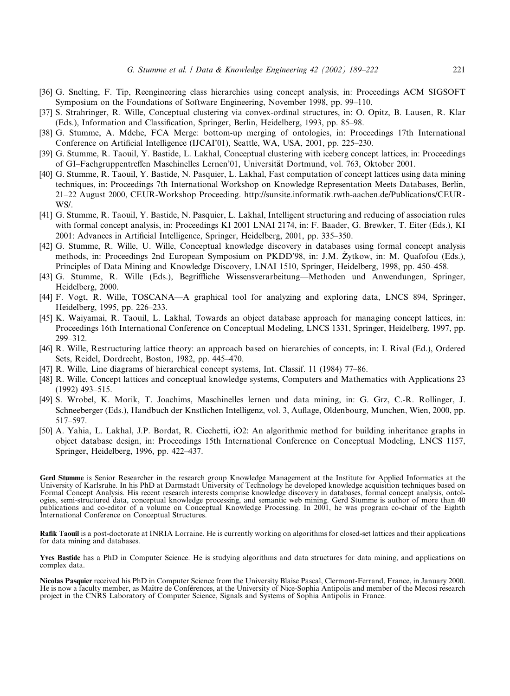- [36] G. Snelting, F. Tip, Reengineering class hierarchies using concept analysis, in: Proceedings ACM SIGSOFT Symposium on the Foundations of Software Engineering, November 1998, pp. 99–110.
- [37] S. Strahringer, R. Wille, Conceptual clustering via convex-ordinal structures, in: O. Opitz, B. Lausen, R. Klar (Eds.), Information and Classification, Springer, Berlin, Heidelberg, 1993, pp. 85–98.
- [38] G. Stumme, A. Mdche, FCA Merge: bottom-up merging of ontologies, in: Proceedings 17th International Conference on Artificial Intelligence (IJCAI'01), Seattle, WA, USA, 2001, pp. 225–230.
- [39] G. Stumme, R. Taouil, Y. Bastide, L. Lakhal, Conceptual clustering with iceberg concept lattices, in: Proceedings of GI–Fachgruppentreffen Maschinelles Lernen'01, Universität Dortmund, vol. 763, Oktober 2001.
- [40] G. Stumme, R. Taouil, Y. Bastide, N. Pasquier, L. Lakhal, Fast computation of concept lattices using data mining techniques, in: Proceedings 7th International Workshop on Knowledge Representation Meets Databases, Berlin, 21–22 August 2000, CEUR-Workshop Proceeding. http://sunsite.informatik.rwth-aachen.de/Publications/CEUR-WS/.
- [41] G. Stumme, R. Taouil, Y. Bastide, N. Pasquier, L. Lakhal, Intelligent structuring and reducing of association rules with formal concept analysis, in: Proceedings KI 2001 LNAI 2174, in: F. Baader, G. Brewker, T. Eiter (Eds.), KI 2001: Advances in Artificial Intelligence, Springer, Heidelberg, 2001, pp. 335–350.
- [42] G. Stumme, R. Wille, U. Wille, Conceptual knowledge discovery in databases using formal concept analysis methods, in: Proceedings 2nd European Symposium on PKDD'98, in: J.M. Zytkow, in: M. Quafofou (Eds.), \_ Principles of Data Mining and Knowledge Discovery, LNAI 1510, Springer, Heidelberg, 1998, pp. 450–458.
- [43] G. Stumme, R. Wille (Eds.), Begriffliche Wissensverarbeitung––Methoden und Anwendungen, Springer, Heidelberg, 2000.
- [44] F. Vogt, R. Wille, TOSCANA—A graphical tool for analyzing and exploring data, LNCS 894, Springer, Heidelberg, 1995, pp. 226–233.
- [45] K. Waiyamai, R. Taouil, L. Lakhal, Towards an object database approach for managing concept lattices, in: Proceedings 16th International Conference on Conceptual Modeling, LNCS 1331, Springer, Heidelberg, 1997, pp. 299–312.
- [46] R. Wille, Restructuring lattice theory: an approach based on hierarchies of concepts, in: I. Rival (Ed.), Ordered Sets, Reidel, Dordrecht, Boston, 1982, pp. 445–470.
- [47] R. Wille, Line diagrams of hierarchical concept systems, Int. Classif. 11 (1984) 77–86.
- [48] R. Wille, Concept lattices and conceptual knowledge systems, Computers and Mathematics with Applications 23 (1992) 493–515.
- [49] S. Wrobel, K. Morik, T. Joachims, Maschinelles lernen und data mining, in: G. Grz, C.-R. Rollinger, J. Schneeberger (Eds.), Handbuch der Knstlichen Intelligenz, vol. 3, Auflage, Oldenbourg, Munchen, Wien, 2000, pp. 517–597.
- [50] A. Yahia, L. Lakhal, J.P. Bordat, R. Cicchetti, iO2: An algorithmic method for building inheritance graphs in object database design, in: Proceedings 15th International Conference on Conceptual Modeling, LNCS 1157, Springer, Heidelberg, 1996, pp. 422–437.

Gerd Stumme is Senior Researcher in the research group Knowledge Management at the Institute for Applied Informatics at the University of Karlsruhe. In his PhD at Darmstadt University of Technology he developed knowledge acquisition techniques based on Formal Concept Analysis. His recent research interests comprise knowledge discovery in databases, formal concept analysis, ontologies, semi-structured data, conceptual knowledge processing, and semantic web mining. Gerd Stumme is author of more than 40 publications and co-editor of a volume on Conceptual Knowledge Processing. In 2001, he was program co-chair of the Eighth International Conference on Conceptual Structures.

Rafik Taouil is a post-doctorate at INRIA Lorraine. He is currently working on algorithms for closed-set lattices and their applications for data mining and databases.

Yves Bastide has a PhD in Computer Science. He is studying algorithms and data structures for data mining, and applications on complex data.

Nicolas Pasquier received his PhD in Computer Science from the University Blaise Pascal, Clermont-Ferrand, France, in January 2000. He is now a faculty member, as Maître de Conférences, at the University of Nice-Sophia Antipolis and member of the Mecosi research project in the CNRS Laboratory of Computer Science, Signals and Systems of Sophia Antipolis in France.